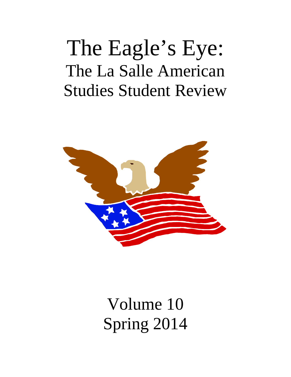# The Eagle's Eye: The La Salle American Studies Student Review



Volume 10 Spring 2014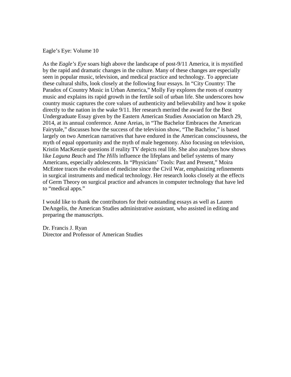Eagle's Eye: Volume 10

As the *Eagle's Eye* soars high above the landscape of post-9/11 America, it is mystified by the rapid and dramatic changes in the culture. Many of these changes are especially seen in popular music, television, and medical practice and technology. To appreciate these cultural shifts, look closely at the following four essays. In "City Country: The Paradox of Country Music in Urban America," Molly Fay explores the roots of country music and explains its rapid growth in the fertile soil of urban life. She underscores how country music captures the core values of authenticity and believability and how it spoke directly to the nation in the wake 9/11. Her research merited the award for the Best Undergraduate Essay given by the Eastern American Studies Association on March 29, 2014, at its annual conference. Anne Areias, in "The Bachelor Embraces the American Fairytale," discusses how the success of the television show, "The Bachelor," is based largely on two American narratives that have endured in the American consciousness, the myth of equal opportunity and the myth of male hegemony. Also focusing on television, Kristin MacKenzie questions if reality TV depicts real life. She also analyzes how shows like *Laguna Beach* and *The Hills* influence the lifeplans and belief systems of many Americans, especially adolescents. In "Physicians' Tools: Past and Present," Moira McEntee traces the evolution of medicine since the Civil War, emphasizing refinements in surgical instruments and medical technology. Her research looks closely at the effects of Germ Theory on surgical practice and advances in computer technology that have led to "medical apps."

I would like to thank the contributors for their outstanding essays as well as Lauren DeAngelis, the American Studies administrative assistant, who assisted in editing and preparing the manuscripts.

Dr. Francis J. Ryan Director and Professor of American Studies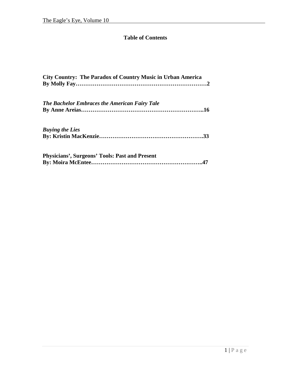## **Table of Contents**

| <b>City Country: The Paradox of Country Music in Urban America</b> |
|--------------------------------------------------------------------|
| <b>The Bachelor Embraces the American Fairy Tale</b>               |
|                                                                    |
| <b>Buying the Lies</b>                                             |
|                                                                    |
| <b>Physicians', Surgeons' Tools: Past and Present</b>              |
|                                                                    |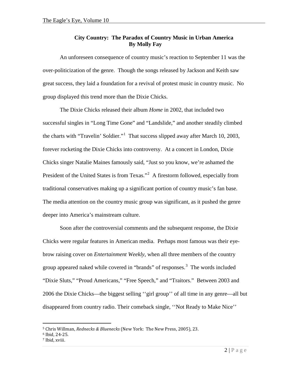## **City Country: The Paradox of Country Music in Urban America By Molly Fay**

An unforeseen consequence of country music's reaction to September 11 was the over-politicization of the genre. Though the songs released by Jackson and Keith saw great success, they laid a foundation for a revival of protest music in country music. No group displayed this trend more than the Dixie Chicks.

The Dixie Chicks released their album *Home* in 2002, that included two successful singles in "Long Time Gone" and "Landslide," and another steadily climbed the charts with "Travelin' Soldier."<sup>[1](#page-3-0)</sup> That success slipped away after March 10, 2003, forever rocketing the Dixie Chicks into controversy. At a concert in London, Dixie Chicks singer Natalie Maines famously said, "Just so you know, we're ashamed the President of the United States is from Texas."<sup>[2](#page-3-1)</sup> A firestorm followed, especially from traditional conservatives making up a significant portion of country music's fan base. The media attention on the country music group was significant, as it pushed the genre deeper into America's mainstream culture.

Soon after the controversial comments and the subsequent response, the Dixie Chicks were regular features in American media. Perhaps most famous was their eyebrow raising cover on *Entertainment Weekly*, when all three members of the country group appeared naked while covered in "brands" of responses.<sup>[3](#page-3-2)</sup> The words included "Dixie Sluts," "Proud Americans," "Free Speech," and "Traitors." Between 2003 and 2006 the Dixie Chicks—the biggest selling ''girl group'' of all time in any genre—all but disappeared from country radio. Their comeback single, ''Not Ready to Make Nice''

<span id="page-3-0"></span><sup>5</sup> Chris Willman, *Rednecks & Bluenecks* (New York: The New Press, 2005), 23.

<span id="page-3-1"></span><sup>6</sup> Ibid, 24-25.

<span id="page-3-2"></span><sup>7</sup> Ibid, xviii.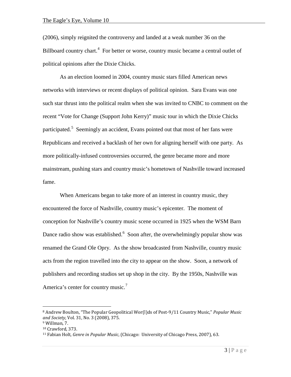(2006), simply reignited the controversy and landed at a weak number 36 on the Billboard country chart.<sup>[4](#page-4-0)</sup> For better or worse, country music became a central outlet of political opinions after the Dixie Chicks.

As an election loomed in 2004, country music stars filled American news networks with interviews or recent displays of political opinion. Sara Evans was one such star thrust into the political realm when she was invited to CNBC to comment on the recent "Vote for Change (Support John Kerry)" music tour in which the Dixie Chicks participated.<sup>[5](#page-4-1)</sup> Seemingly an accident, Evans pointed out that most of her fans were Republicans and received a backlash of her own for aligning herself with one party. As more politically-infused controversies occurred, the genre became more and more mainstream, pushing stars and country music's hometown of Nashville toward increased fame.

When Americans began to take more of an interest in country music, they encountered the force of Nashville, country music's epicenter. The moment of conception for Nashville's country music scene occurred in 1925 when the WSM Barn Dance radio show was established.<sup>[6](#page-4-2)</sup> Soon after, the overwhelmingly popular show was renamed the Grand Ole Opry. As the show broadcasted from Nashville, country music acts from the region travelled into the city to appear on the show. Soon, a network of publishers and recording studios set up shop in the city. By the 1950s, Nashville was America's center for country music.<sup>[7](#page-4-3)</sup>

<span id="page-4-0"></span><sup>8</sup> Andrew Boulton, "The Popular Geopolitical Wor(l)ds of Post-9/11 Country Music," *Popular Music and Society*, Vol. 31, No. 3 (2008), 375.

<span id="page-4-1"></span><sup>9</sup> Willman, 7.

<span id="page-4-2"></span><sup>10</sup> Crawford, 373.

<span id="page-4-3"></span><sup>11</sup> Fabian Holt, *Genre in Popular Music*, (Chicago: University of Chicago Press, 2007), 63.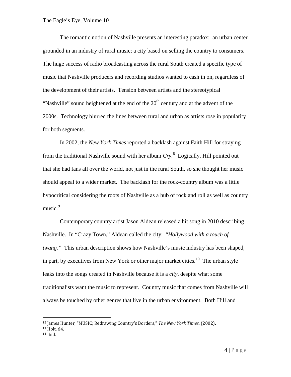The romantic notion of Nashville presents an interesting paradox: an urban center grounded in an industry of rural music; a city based on selling the country to consumers. The huge success of radio broadcasting across the rural South created a specific type of music that Nashville producers and recording studios wanted to cash in on, regardless of the development of their artists. Tension between artists and the stereotypical "Nashville" sound heightened at the end of the  $20<sup>th</sup>$  century and at the advent of the 2000s. Technology blurred the lines between rural and urban as artists rose in popularity for both segments.

In 2002, the *New York Times* reported a backlash against Faith Hill for straying from the traditional Nashville sound with her album *Cry*. [8](#page-5-0) Logically, Hill pointed out that she had fans all over the world, not just in the rural South, so she thought her music should appeal to a wider market. The backlash for the rock-country album was a little hypocritical considering the roots of Nashville as a hub of rock and roll as well as country music.<sup>[9](#page-5-1)</sup>

Contemporary country artist Jason Aldean released a hit song in 2010 describing Nashville. In "Crazy Town," Aldean called the city: "*Hollywood with a touch of twang."* This urban description shows how Nashville's music industry has been shaped, in part, by executives from New York or other major market cities.<sup>[10](#page-5-2)</sup> The urban style leaks into the songs created in Nashville because it is a *city*, despite what some traditionalists want the music to represent. Country music that comes from Nashville will always be touched by other genres that live in the urban environment. Both Hill and

<sup>12</sup> James Hunter, "MUSIC; Redrawing Country's Borders," *The New York Times*, (2002).

<span id="page-5-2"></span><span id="page-5-1"></span><span id="page-5-0"></span><sup>13</sup> Holt, 64.

<sup>14</sup> Ibid.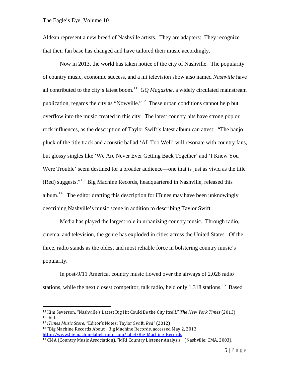Aldean represent a new breed of Nashville artists. They are adapters: They recognize that their fan base has changed and have tailored their music accordingly.

Now in 2013, the world has taken notice of the city of Nashville. The popularity of country music, economic success, and a hit television show also named *Nashville* have all contributed to the city's latest boom.<sup>11</sup> *GQ Magazine*, a widely circulated mainstream publication, regards the city as "Nowville."[12](#page-6-1) These urban conditions cannot help but overflow into the music created in this city. The latest country hits have strong pop or rock influences, as the description of Taylor Swift's latest album can attest: "The banjo pluck of the title track and acoustic ballad 'All Too Well' will resonate with country fans, but glossy singles like 'We Are Never Ever Getting Back Together' and 'I Knew You Were Trouble' seem destined for a broader audience—one that is just as vivid as the title (Red) suggests."[13](#page-6-2) Big Machine Records, headquartered in Nashville, released this album.<sup>14</sup> The editor drafting this description for iTunes may have been unknowingly describing Nashville's music scene in addition to describing Taylor Swift.

Media has played the largest role in urbanizing country music. Through radio, cinema, and television, the genre has exploded in cities across the United States. Of the three, radio stands as the oldest and most reliable force in bolstering country music's popularity.

In post-9/11 America, country music flowed over the airways of 2,028 radio stations, while the next closest competitor, talk radio, held only  $1,318$  stations.<sup>[15](#page-6-4)</sup> Based

<span id="page-6-1"></span><span id="page-6-0"></span><sup>15</sup> Kim Severson, "Nashville's Latest Big Hit Could Be the City Itself," *The New York Times* (2013). <sup>16</sup> Ibid.

<span id="page-6-3"></span><span id="page-6-2"></span><sup>17</sup> *iTunes Music Store*, "Editor's Notes: Taylor Swift, *Red"* (2012) <sup>18</sup> "Big Machine Records About," Big Machine Records, accessed May 2, 2013, http://www.bigmachinelabelgroup.com/label/Big Machine Records.

<span id="page-6-4"></span> $19$  CMA (Country Music Association). "MRI Country Listener Analysis," (Nashville: CMA, 2003).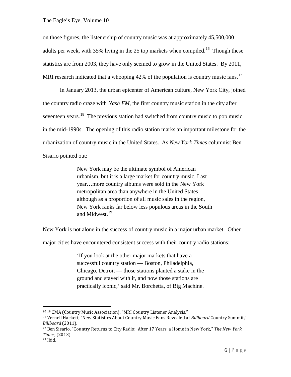on those figures, the listenership of country music was at approximately 45,500,000 adults per week, with 35% living in the 25 top markets when compiled.<sup>[16](#page-7-0)</sup> Though these statistics are from 2003, they have only seemed to grow in the United States. By 2011, MRI research indicated that a whooping  $42\%$  of the population is country music fans.<sup>[17](#page-7-1)</sup>

In January 2013, the urban epicenter of American culture, New York City, joined the country radio craze with *Nash FM*, the first country music station in the city after seventeen years.<sup>[18](#page-7-2)</sup> The previous station had switched from country music to pop music in the mid-1990s. The opening of this radio station marks an important milestone for the urbanization of country music in the United States. As *New York Times* columnist Ben Sisario pointed out:

> New York may be the ultimate symbol of American urbanism, but it is a large market for country music. Last year…more country albums were sold in the New York metropolitan area than anywhere in the United States although as a proportion of all music sales in the region, New York ranks far below less populous areas in the South and Midwest.<sup>[19](#page-7-3)</sup>

New York is not alone in the success of country music in a major urban market. Other

major cities have encountered consistent success with their country radio stations:

'If you look at the other major markets that have a successful country station — Boston, Philadelphia, Chicago, Detroit — those stations planted a stake in the ground and stayed with it, and now those stations are practically iconic,' said Mr. Borchetta, of Big Machine.

<span id="page-7-0"></span><sup>20</sup> <sup>19</sup> CMA (Country Music Association). "MRI Country Listener Analysis,"

<span id="page-7-1"></span><sup>21</sup> Vernell Hackett, "New Statistics About Country Music Fans Revealed at *Billboard* Country Summit," *Billboard* (2011).

<span id="page-7-2"></span><sup>22</sup> Ben Sisario, "Country Returns to City Radio: After 17 Years, a Home in New York," *The New York Times*, (2013).

<span id="page-7-3"></span><sup>23</sup> Ibid.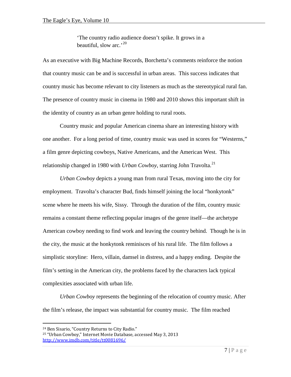'The country radio audience doesn't spike. It grows in a beautiful, slow arc.'<sup>[20](#page-8-0)</sup>

As an executive with Big Machine Records, Borchetta's comments reinforce the notion that country music can be and is successful in urban areas. This success indicates that country music has become relevant to city listeners as much as the stereotypical rural fan. The presence of country music in cinema in 1980 and 2010 shows this important shift in the identity of country as an urban genre holding to rural roots.

Country music and popular American cinema share an interesting history with one another. For a long period of time, country music was used in scores for "Westerns," a film genre depicting cowboys, Native Americans, and the American West. This relationship changed in 1980 with *Urban Cowboy*, starring John Travolta.<sup>[21](#page-8-1)</sup>

*Urban Cowboy* depicts a young man from rural Texas, moving into the city for employment. Travolta's character Bud, finds himself joining the local "honkytonk" scene where he meets his wife, Sissy. Through the duration of the film, country music remains a constant theme reflecting popular images of the genre itself—the archetype American cowboy needing to find work and leaving the country behind. Though he is in the city, the music at the honkytonk reminisces of his rural life. The film follows a simplistic storyline: Hero, villain, damsel in distress, and a happy ending. Despite the film's setting in the American city, the problems faced by the characters lack typical complexities associated with urban life.

*Urban Cowboy* represents the beginning of the relocation of country music. After the film's release, the impact was substantial for country music. The film reached

<span id="page-8-0"></span><sup>24</sup> Ben Sisario, "Country Returns to City Radio."

<span id="page-8-1"></span><sup>25</sup> "Urban Cowboy," Internet Movie Database, accessed May 3, 2013 <http://www.imdb.com/title/tt0081696/>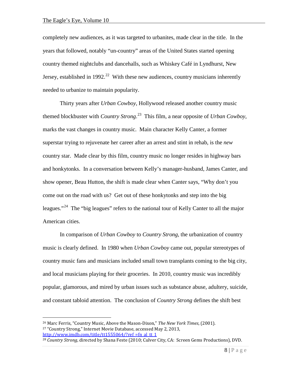completely new audiences, as it was targeted to urbanites, made clear in the title. In the years that followed, notably "un-country" areas of the United States started opening country themed nightclubs and dancehalls, such as Whiskey Café in Lyndhurst, New Jersey, established in 1992.<sup>[22](#page-9-0)</sup> With these new audiences, country musicians inherently needed to urbanize to maintain popularity.

Thirty years after *Urban Cowboy*, Hollywood released another country music themed blockbuster with *Country Strong*. [23](#page-9-1) This film, a near opposite of *Urban Cowboy*, marks the vast changes in country music. Main character Kelly Canter, a former superstar trying to rejuvenate her career after an arrest and stint in rehab, is the *new* country star. Made clear by this film, country music no longer resides in highway bars and honkytonks. In a conversation between Kelly's manager-husband, James Canter, and show opener, Beau Hutton, the shift is made clear when Canter says, "Why don't you come out on the road with us? Get out of these honkytonks and step into the big leagues."<sup>[24](#page-9-2)</sup> The "big leagues" refers to the national tour of Kelly Canter to all the major American cities.

In comparison of *Urban Cowboy* to *Country Strong*, the urbanization of country music is clearly defined. In 1980 when *Urban Cowboy* came out, popular stereotypes of country music fans and musicians included small town transplants coming to the big city, and local musicians playing for their groceries. In 2010, country music was incredibly popular, glamorous, and mired by urban issues such as substance abuse, adultery, suicide, and constant tabloid attention. The conclusion of *Country Strong* defines the shift best

<span id="page-9-1"></span><span id="page-9-0"></span><sup>26</sup> Marc Ferris, "Country Music, Above the Mason-Dixon," *The New York Times*, (2001). <sup>27</sup> "Country Strong," Internet Movie Database, accessed May 2, 2013, http://www.imdb.com/title/tt1555064/?ref =fn\_al\_tt\_1

<span id="page-9-2"></span><sup>28</sup> *Country Strong*, directed by Shana Feste (2010; Culver City, CA: Screen Gems Productions), DVD.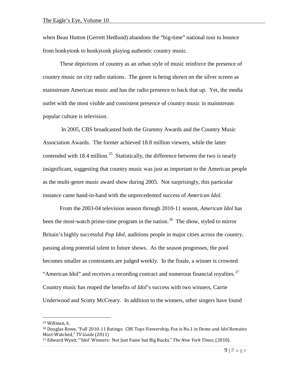when Beau Hutton (Gerrett Hedlund) abandons the "big-time" national tour to bounce from honkytonk to honkytonk playing authentic country music.

These depictions of country as an urban style of music reinforce the presence of country music on city radio stations. The genre is being shown on the silver screen as mainstream American music and has the radio presence to back that up. Yet, the media outlet with the most visible and consistent presence of country music in mainstream popular culture is television.

In 2005, CBS broadcasted both the Grammy Awards and the Country Music Association Awards. The former achieved 18.8 million viewers, while the latter contended with 18.4 million.<sup>[25](#page-10-0)</sup> Statistically, the difference between the two is nearly insignificant, suggesting that country music was just as important to the American people as the multi-genre music award show during 2005. Not surprisingly, this particular instance came hand-in-hand with the unprecedented success of *American Idol*.

From the 2003-04 television season through 2010-11 season, *American Idol* has been the most-watch prime-time program in the nation.<sup>26</sup> The show, styled to mirror Britain's highly successful *Pop Idol*, auditions people in major cities across the country, passing along potential talent to future shows. As the season progresses, the pool becomes smaller as contestants are judged weekly. In the finale, a winner is crowned "American Idol" and receives a recording contract and numerous financial royalties. $27$ Country music has reaped the benefits of *Idol*'s success with two winners, Carrie Underwood and Scotty McCreary. In addition to the winners, other singers have found

<span id="page-10-1"></span><span id="page-10-0"></span><sup>29</sup> Willman, 6.

<sup>30</sup> Douglas Rowe, "Full 2010-11 Ratings: CBS Tops Viewership, Fox is No.1 in Demo and *Idol* Remains Most-Watched," *TV Guide* (2011)

<span id="page-10-2"></span><sup>31</sup> Edward Wyatt, "'Idol' Winners: Not Just Fame but Big Bucks," *The New York Times*, (2010).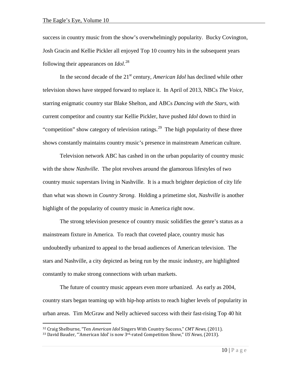success in country music from the show's overwhelmingly popularity. Bucky Covington, Josh Gracin and Kellie Pickler all enjoyed Top 10 country hits in the subsequent years following their appearances on *Idol*. [28](#page-11-0)

In the second decade of the 21<sup>st</sup> century, *American Idol* has declined while other television shows have stepped forward to replace it. In April of 2013, NBCs *The Voice,* starring enigmatic country star Blake Shelton, and ABCs *Dancing with the Stars*, with current competitor and country star Kellie Pickler, have pushed *Idol* down to third in "competition" show category of television ratings.<sup>29</sup> The high popularity of these three shows constantly maintains country music's presence in mainstream American culture.

Television network ABC has cashed in on the urban popularity of country music with the show *Nashville*. The plot revolves around the glamorous lifestyles of two country music superstars living in Nashville. It is a much brighter depiction of city life than what was shown in *Country Strong*. Holding a primetime slot, *Nashville* is another highlight of the popularity of country music in America right now.

The strong television presence of country music solidifies the genre's status as a mainstream fixture in America. To reach that coveted place, country music has undoubtedly urbanized to appeal to the broad audiences of American television. The stars and Nashville, a city depicted as being run by the music industry, are highlighted constantly to make strong connections with urban markets.

The future of country music appears even more urbanized. As early as 2004, country stars began teaming up with hip-hop artists to reach higher levels of popularity in urban areas. Tim McGraw and Nelly achieved success with their fast-rising Top 40 hit

<span id="page-11-0"></span><sup>32</sup> Craig Shelburne, "Ten *American Idol* Singers With Country Success," *CMT News,* (2011).

<span id="page-11-1"></span><sup>33</sup> David Bauder, "'American Idol' is now 3rd-rated Competition Show," *US News*, (2013).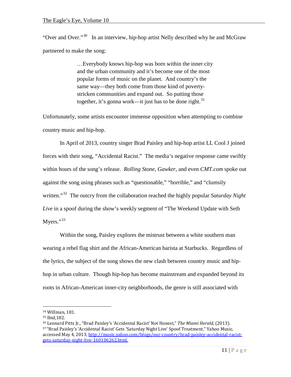"Over and Over."<sup>30</sup> In an interview, hip-hop artist Nelly described why he and McGraw partnered to make the song:

> …Everybody knows hip-hop was born within the inner city and the urban community and it's become one of the most popular forms of music on the planet. And country's the same way—they both come from those kind of povertystricken communities and expand out. So putting those together, it's gonna work—it just has to be done right. $31$

Unfortunately, some artists encounter immense opposition when attempting to combine country music and hip-hop.

In April of 2013, country singer Brad Paisley and hip-hop artist LL Cool J joined forces with their song, "Accidental Racist." The media's negative response came swiftly within hours of the song's release. *Rolling Stone*, *Gawker*, and even *CMT.com* spoke out against the song using phrases such as "questionable," "horrible," and "clumsily written."<sup>[32](#page-12-2)</sup> The outcry from the collaboration reached the highly popular *Saturday Night Live* in a spoof during the show's weekly segment of "The Weekend Update with Seth Myers." $33$ 

Within the song, Paisley explores the mistrust between a white southern man wearing a rebel flag shirt and the African-American barista at Starbucks. Regardless of the lyrics, the subject of the song shows the new clash between country music and hiphop in urban culture. Though hip-hop has become mainstream and expanded beyond its roots in African-American inner-city neighborhoods, the genre is still associated with

<span id="page-12-0"></span><sup>34</sup> Willman, 181.

<span id="page-12-1"></span><sup>35</sup> Ibid,182.

<span id="page-12-3"></span><span id="page-12-2"></span><sup>36</sup> Leonard Pitts Jr., "Brad Paisley's 'Accidental Racist' Not Honest," *The Miami Herald*, (2013). 37 "Brad Paisley's 'Accidental Racist' Gets 'Saturday Night Live' Spoof Treatment," Yahoo Music, accessed May 4, 2013, [http://music.yahoo.com/blogs/our-country/brad-paisley-accidental-racist](http://music.yahoo.com/blogs/our-country/brad-paisley-accidental-racist-gets-saturday-night-live-160106262.html)[gets-saturday-night-live-160106262.html.](http://music.yahoo.com/blogs/our-country/brad-paisley-accidental-racist-gets-saturday-night-live-160106262.html)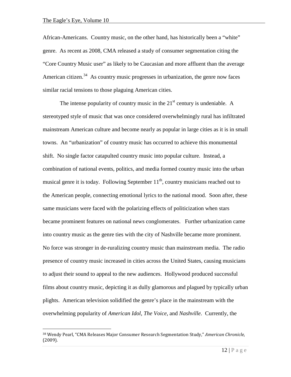$\overline{a}$ 

African-Americans. Country music, on the other hand, has historically been a "white" genre. As recent as 2008, CMA released a study of consumer segmentation citing the "Core Country Music user" as likely to be Caucasian and more affluent than the average American citizen.<sup>34</sup> As country music progresses in urbanization, the genre now faces similar racial tensions to those plaguing American cities.

The intense popularity of country music in the  $21<sup>st</sup>$  century is undeniable. A stereotyped style of music that was once considered overwhelmingly rural has infiltrated mainstream American culture and become nearly as popular in large cities as it is in small towns. An "urbanization" of country music has occurred to achieve this monumental shift. No single factor catapulted country music into popular culture. Instead, a combination of national events, politics, and media formed country music into the urban musical genre it is today. Following September  $11<sup>th</sup>$ , country musicians reached out to the American people, connecting emotional lyrics to the national mood. Soon after, these same musicians were faced with the polarizing effects of politicization when stars became prominent features on national news conglomerates. Further urbanization came into country music as the genre ties with the city of Nashville became more prominent. No force was stronger in de-ruralizing country music than mainstream media. The radio presence of country music increased in cities across the United States, causing musicians to adjust their sound to appeal to the new audiences. Hollywood produced successful films about country music, depicting it as dully glamorous and plagued by typically urban plights. American television solidified the genre's place in the mainstream with the overwhelming popularity of *American Idol*, *The Voice*, and *Nashville*. Currently, the

<span id="page-13-0"></span><sup>38</sup> Wendy Pearl, "CMA Releases Major Consumer Research Segmentation Study," *American Chronicle*, (2009).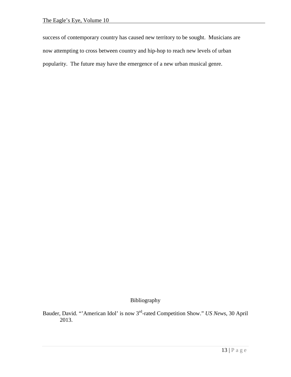success of contemporary country has caused new territory to be sought. Musicians are now attempting to cross between country and hip-hop to reach new levels of urban popularity. The future may have the emergence of a new urban musical genre.

Bibliography

Bauder, David. "'American Idol' is now 3rd-rated Competition Show." *US News*, 30 April 2013.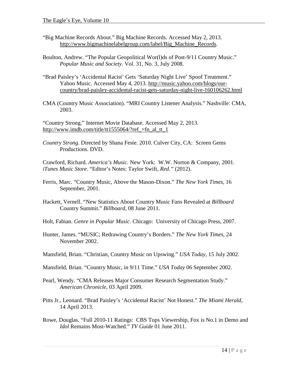- "Big Machine Records About." Big Machine Records. Accessed May 2, 2013. [http://www.bigmachinelabelgroup.com/label/Big\\_Machine\\_Records.](http://www.bigmachinelabelgroup.com/label/Big_Machine_Records)
- Boulton, Andrew. "The Popular Geopolitical Wor(l)ds of Post-9/11 Country Music." *Popular Music and Society*. Vol. 31, No. 3, July 2008.
- "Brad Paisley's 'Accidental Racist' Gets 'Saturday Night Live' Spoof Treatment." Yahoo Music. Accessed May 4, 2013. [http://music.yahoo.com/blogs/our](http://music.yahoo.com/blogs/our-country/brad-paisley-accidental-racist-gets-saturday-night-live-160106262.html)[country/brad-paisley-accidental-racist-gets-saturday-night-live-160106262.html](http://music.yahoo.com/blogs/our-country/brad-paisley-accidental-racist-gets-saturday-night-live-160106262.html)
- CMA (Country Music Association). "MRI Country Listener Analysis." Nashville: CMA, 2003.

"Country Strong." Internet Movie Database. Accessed May 2, 2013. [http://www.imdb.com/title/tt1555064/?ref\\_=fn\\_al\\_tt\\_1](http://www.imdb.com/title/tt1555064/?ref_=fn_al_tt_1)

*Country Strong*. Directed by Shana Feste. 2010. Culver City, CA: Screen Gems Productions. DVD.

Crawford, Richard. *America's Music.* New York: W.W. Norton & Company, 2001. *iTunes Music Store*. "Editor's Notes: Taylor Swift, *Red."* (2012).

- Ferris, Marc. "Country Music, Above the Mason-Dixon." *The New York Times*, 16 September, 2001.
- Hackett, Vernell. "New Statistics About Country Music Fans Revealed at *Billboard* Country Summit." *Billboard,* 08 June 2011.
- Holt, Fabian. *Genre in Popular Music*. Chicago: University of Chicago Press, 2007.
- Hunter, James. "MUSIC; Redrawing Country's Borders." *The New York Times*, 24 November 2002.
- Mansfield, Brian. "Christian, Country Music on Upswing." *USA Today*, 15 July 2002.
- Mansfield, Brian. "Country Music, in 9/11 Time." *USA Today* 06 September 2002.
- Pearl, Wendy. "CMA Releases Major Consumer Research Segmentation Study." *American Chronicle*, 03 April 2009.
- Pitts Jr., Leonard. "Brad Paisley's 'Accidental Racist' Not Honest." *The Miami Herald*, 14 April 2013.
- Rowe, Douglas. "Full 2010-11 Ratings: CBS Tops Viewership, Fox is No.1 in Demo and *Idol* Remains Most-Watched." *TV Guide* 01 June 2011.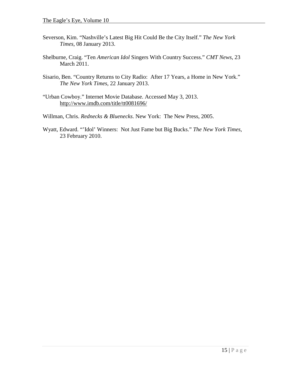- Severson, Kim. "Nashville's Latest Big Hit Could Be the City Itself." *The New York Times,* 08 January 2013.
- Shelburne, Craig. "Ten *American Idol* Singers With Country Success." *CMT News*, 23 March 2011.
- Sisario, Ben. "Country Returns to City Radio: After 17 Years, a Home in New York." *The New York Times*, 22 January 2013.
- "Urban Cowboy." Internet Movie Database. Accessed May 3, 2013. <http://www.imdb.com/title/tt0081696/>
- Willman, Chris. *Rednecks & Bluenecks*. New York: The New Press, 2005.
- Wyatt, Edward. "'Idol' Winners: Not Just Fame but Big Bucks." *The New York Times*, 23 February 2010.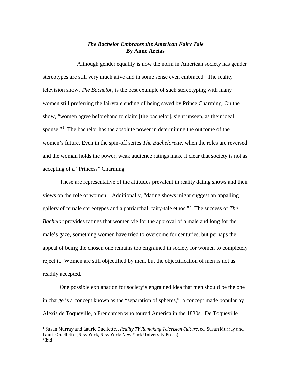## *The Bachelor Embraces the American Fairy Tale* **By Anne Areias**

Although gender equality is now the norm in American society has gender stereotypes are still very much alive and in some sense even embraced. The reality television show, *The Bachelor*, is the best example of such stereotyping with many women still preferring the fairytale ending of being saved by Prince Charming. On the show, "women agree beforehand to claim [the bachelor], sight unseen, as their ideal spouse."<sup>[1](#page-17-0)</sup> The bachelor has the absolute power in determining the outcome of the women's future. Even in the spin-off series *The Bachelorette*, when the roles are reversed and the woman holds the power, weak audience ratings make it clear that society is not as accepting of a "Princess" Charming.

These are representative of the attitudes prevalent in reality dating shows and their views on the role of women. Additionally, "dating shows might suggest an appalling gallery of female stereotypes and a patriarchal, fairy-tale ethos."[2](#page-17-1) The success of *The Bachelor* provides ratings that women vie for the approval of a male and long for the male's gaze, something women have tried to overcome for centuries, but perhaps the appeal of being the chosen one remains too engrained in society for women to completely reject it. Women are still objectified by men, but the objectification of men is not as readily accepted.

One possible explanation for society's engrained idea that men should be the one in charge is a concept known as the "separation of spheres," a concept made popular by Alexis de Toqueville, a Frenchmen who toured America in the 1830s. De Toqueville

<span id="page-17-1"></span><span id="page-17-0"></span><sup>1</sup> Susan Murray and Laurie Ouellette, , *Reality TV Remaking Television Culture*, ed. Susan Murray and Laurie Ouellette (New York, New York: New York University Press). 2Ibid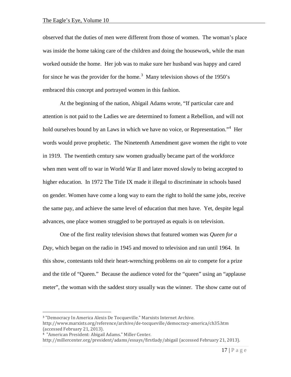observed that the duties of men were different from those of women. The woman's place was inside the home taking care of the children and doing the housework, while the man worked outside the home. Her job was to make sure her husband was happy and cared for since he was the provider for the home.<sup>[3](#page-18-0)</sup> Many television shows of the 1950's embraced this concept and portrayed women in this fashion.

At the beginning of the nation, Abigail Adams wrote, "If particular care and attention is not paid to the Ladies we are determined to foment a Rebellion, and will not hold ourselves bound by an Laws in which we have no voice, or Representation."<sup>[4](#page-18-1)</sup> Her words would prove prophetic. The Nineteenth Amendment gave women the right to vote in 1919. The twentieth century saw women gradually became part of the workforce when men went off to war in World War II and later moved slowly to being accepted to higher education. In 1972 The Title IX made it illegal to discriminate in schools based on gender. Women have come a long way to earn the right to hold the same jobs, receive the same pay, and achieve the same level of education that men have. Yet, despite legal advances, one place women struggled to be portrayed as equals is on television.

One of the first reality television shows that featured women was *Queen for a Day*, which began on the radio in 1945 and moved to television and ran until 1964. In this show, contestants told their heart-wrenching problems on air to compete for a prize and the title of "Queen." Because the audience voted for the "queen" using an "applause meter", the woman with the saddest story usually was the winner. The show came out of

<span id="page-18-0"></span> $\overline{a}$ <sup>3</sup> "Democracy In America Alexis De Tocqueville." Marxists Internet Archive. http://www.marxists.org/reference/archive/de-tocqueville/democracy-america/ch35.htm (accessed February 21, 2013).

<span id="page-18-1"></span><sup>4 &</sup>quot;American President: Abigail Adams." Miller Center.

http://millercenter.org/president/adams/essays/firstlady/abigail (accessed February 21, 2013).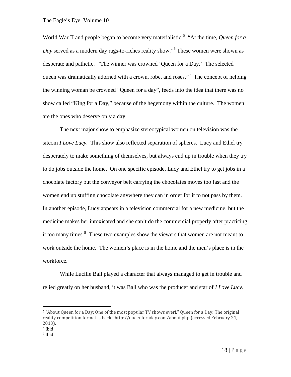World War II and people began to become very materialistic.<sup>[5](#page-19-0)</sup> "At the time, *Queen for a Day* served as a modern day rags-to-riches reality show."[6](#page-19-1) These women were shown as desperate and pathetic. "The winner was crowned 'Queen for a Day.' The selected queen was dramatically adorned with a crown, robe, and roses."<sup>[7](#page-19-2)</sup> The concept of helping the winning woman be crowned "Queen for a day", feeds into the idea that there was no show called "King for a Day," because of the hegemony within the culture. The women are the ones who deserve only a day.

The next major show to emphasize stereotypical women on television was the sitcom *I Love Lucy*. This show also reflected separation of spheres. Lucy and Ethel try desperately to make something of themselves, but always end up in trouble when they try to do jobs outside the home. On one specific episode, Lucy and Ethel try to get jobs in a chocolate factory but the conveyor belt carrying the chocolates moves too fast and the women end up stuffing chocolate anywhere they can in order for it to not pass by them. In another episode, Lucy appears in a television commercial for a new medicine, but the medicine makes her intoxicated and she can't do the commercial properly after practicing it too many times.<sup>[8](#page-19-3)</sup> These two examples show the viewers that women are not meant to work outside the home. The women's place is in the home and the men's place is in the workforce.

While Lucille Ball played a character that always managed to get in trouble and relied greatly on her husband, it was Ball who was the producer and star of *I Love Lucy*.

<span id="page-19-0"></span><sup>5</sup> "About Queen for a Day: One of the most popular TV shows ever!." Queen for a Day: The original reality competition format is back!. http://queenforaday.com/about.php (accessed February 21, 2013).

<span id="page-19-1"></span><sup>6</sup> Ibid

<span id="page-19-3"></span><span id="page-19-2"></span><sup>7</sup> Ibid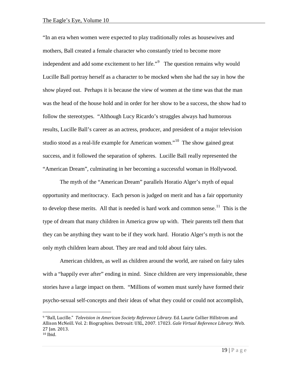$\overline{a}$ 

"In an era when women were expected to play traditionally roles as housewives and mothers, Ball created a female character who constantly tried to become more independent and add some excitement to her life."<sup>[9](#page-20-0)</sup> The question remains why would Lucille Ball portray herself as a character to be mocked when she had the say in how the show played out. Perhaps it is because the view of women at the time was that the man was the head of the house hold and in order for her show to be a success, the show had to follow the stereotypes. "Although Lucy Ricardo's struggles always had humorous results, Lucille Ball's career as an actress, producer, and president of a major television studio stood as a real-life example for American women."[10](#page-20-1) The show gained great success, and it followed the separation of spheres. Lucille Ball really represented the "American Dream", culminating in her becoming a successful woman in Hollywood.

The myth of the "American Dream" parallels Horatio Alger's myth of equal opportunity and meritocracy. Each person is judged on merit and has a fair opportunity to develop these merits. All that is needed is hard work and common sense.<sup>[11](#page-20-2)</sup> This is the type of dream that many children in America grow up with. Their parents tell them that they can be anything they want to be if they work hard. Horatio Alger's myth is not the only myth children learn about. They are read and told about fairy tales.

American children, as well as children around the world, are raised on fairy tales with a "happily ever after" ending in mind. Since children are very impressionable, these stories have a large impact on them. "Millions of women must surely have formed their psycho-sexual self-concepts and their ideas of what they could or could not accomplish,

<span id="page-20-2"></span><span id="page-20-1"></span><span id="page-20-0"></span><sup>9</sup> "Ball, Lucille." *Television in American Society Reference Library.* Ed. Laurie Collier Hillstrom and Allison McNeill. Vol. 2: Biographies. Detrouit: UXL, 2007. 17023. *Gale Virtual Reference Library.* Web. 27 Jan. 2013.  $10$  Ibid.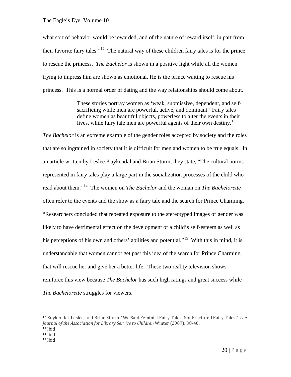what sort of behavior would be rewarded, and of the nature of reward itself, in part from their favorite fairy tales."<sup>12</sup> The natural way of these children fairy tales is for the prince to rescue the princess. *The Bachelor* is shown in a positive light while all the women trying to impress him are shown as emotional. He is the prince waiting to rescue his princess. This is a normal order of dating and the way relationships should come about.

> These stories portray women as 'weak, submissive, dependent, and selfsacrificing while men are powerful, active, and dominant.' Fairy tales define women as beautiful objects, powerless to alter the events in their lives, while fairy tale men are powerful agents of their own destiny.<sup>[13](#page-21-1)</sup>

*The Bachelor* is an extreme example of the gender roles accepted by society and the roles that are so ingrained in society that it is difficult for men and women to be true equals. In an article written by Leslee Kuykendal and Brian Sturm, they state, "The cultural norms represented in fairy tales play a large part in the socialization processes of the child who read about them."[14](#page-21-2) The women on *The Bachelor* and the woman on *The Bachelorette*  often refer to the events and the show as a fairy tale and the search for Prince Charming. "Researchers concluded that repeated exposure to the stereotyped images of gender was likely to have detrimental effect on the development of a child's self-esteem as well as his perceptions of his own and others' abilities and potential."<sup>[15](#page-21-3)</sup> With this in mind, it is understandable that women cannot get past this idea of the search for Prince Charming that will rescue her and give her a better life. These two reality television shows reinforce this view because *The Bachelor* has such high ratings and great success while *The Bachelorette* struggles for viewers.

<span id="page-21-0"></span><sup>12</sup> Kuykendal, Leslee, and Brian Sturm. "We Said Feminist Fairy Tales, Not Fractured Fairy Tales." *The Journal of the Association for Library Service to Children* Winter (2007): 38-40.

<span id="page-21-2"></span><span id="page-21-1"></span><sup>13</sup> Ibid  $14$  Ibid

<span id="page-21-3"></span><sup>15</sup> Ibid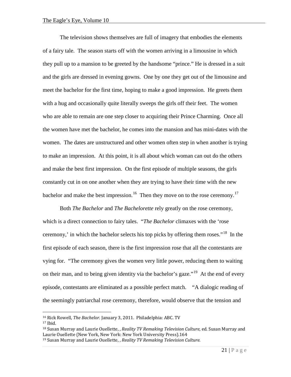The television shows themselves are full of imagery that embodies the elements of a fairy tale. The season starts off with the women arriving in a limousine in which they pull up to a mansion to be greeted by the handsome "prince." He is dressed in a suit and the girls are dressed in evening gowns. One by one they get out of the limousine and meet the bachelor for the first time, hoping to make a good impression. He greets them with a hug and occasionally quite literally sweeps the girls off their feet. The women who are able to remain are one step closer to acquiring their Prince Charming. Once all the women have met the bachelor, he comes into the mansion and has mini-dates with the women. The dates are unstructured and other women often step in when another is trying to make an impression. At this point, it is all about which woman can out do the others and make the best first impression. On the first episode of multiple seasons, the girls constantly cut in on one another when they are trying to have their time with the new bachelor and make the best impression.<sup>[16](#page-22-0)</sup> Then they move on to the rose ceremony.<sup>17</sup>

Both *The Bachelor* and *The Bachelorette* rely greatly on the rose ceremony, which is a direct connection to fairy tales. "*The Bachelor* climaxes with the 'rose ceremony,' in which the bachelor selects his top picks by offering them roses."[18](#page-22-2) In the first episode of each season, there is the first impression rose that all the contestants are vying for. "The ceremony gives the women very little power, reducing them to waiting on their man, and to being given identity via the bachelor's gaze."<sup>19</sup> At the end of every episode, contestants are eliminated as a possible perfect match. "A dialogic reading of the seemingly patriarchal rose ceremony, therefore, would observe that the tension and

<span id="page-22-0"></span><sup>16</sup> Rick Rowell, *The Bachelor*. January 3, 2011. Philadelphia: ABC. TV

<span id="page-22-1"></span> $17$  Ibid.

<span id="page-22-2"></span><sup>18</sup> Susan Murray and Laurie Ouellette, , *Reality TV Remaking Television Culture*, ed. Susan Murray and Laurie Ouellette (New York, New York: New York University Press).164

<span id="page-22-3"></span><sup>19</sup> Susan Murray and Laurie Ouellette, , *Reality TV Remaking Television Culture.*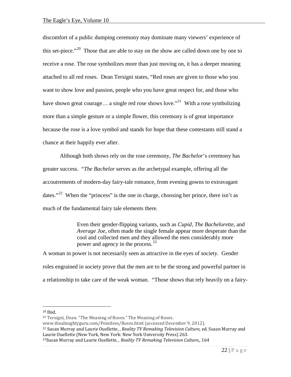discomfort of a public dumping ceremony may dominate many viewers' experience of this set-piece."<sup>20</sup> Those that are able to stay on the show are called down one by one to receive a rose. The rose symbolizes more than just moving on, it has a deeper meaning attached to all red roses. Dean Tersigni states, "Red roses are given to those who you want to show love and passion, people who you have great respect for, and those who have shown great courage... a single red rose shows love.<sup>"21</sup> With a rose symbolizing more than a simple gesture or a simple flower, this ceremony is of great importance because the rose is a love symbol and stands for hope that these contestants still stand a chance at their happily ever after.

Although both shows rely on the rose ceremony, *The Bachelor*'s ceremony has greater success. "*The Bachelor* serves as the archetypal example, offering all the accoutrements of modern-day fairy-tale romance, from evening gowns to extravagant dates."<sup>22</sup> When the "princess" is the one in charge, choosing her prince, there isn't as much of the fundamental fairy tale elements there.

> Even their gender-flipping variants, such as *Cupid, The Bachelorette,* and *Average Joe*, often made the single female appear more desperate than the cool and collected men and they allowed the men considerably more power and agency in the process.<sup>23</sup>

A woman in power is not necessarily seen as attractive in the eyes of society. Gender roles engrained in society prove that the men are to be the strong and powerful partner in a relationship to take care of the weak woman. "Those shows that rely heavily on a fairy-

<span id="page-23-0"></span><sup>20</sup> Ibid.

<span id="page-23-1"></span><sup>21</sup> Tersigni, Dean. "The Meaning of Roses." The Meaning of Roses.

www.thealmightyguru.com/Pointless/Roses.html (accessed December 9, 2012).

<span id="page-23-2"></span><sup>22</sup> Susan Murray and Laurie Ouellette, , *Reality TV Remaking Television Culture*, ed. Susan Murray and Laurie Ouellette (New York, New York: New York University Press) 263.

<span id="page-23-3"></span><sup>23</sup>Susan Murray and Laurie Ouellette, , *Reality TV Remaking Television Culture*,, 164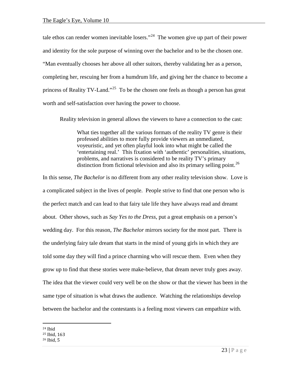tale ethos can render women inevitable losers."<sup>24</sup> The women give up part of their power and identity for the sole purpose of winning over the bachelor and to be the chosen one. "Man eventually chooses her above all other suitors, thereby validating her as a person, completing her, rescuing her from a humdrum life, and giving her the chance to become a princess of Reality TV-Land."<sup>25</sup> To be the chosen one feels as though a person has great worth and self-satisfaction over having the power to choose.

Reality television in general allows the viewers to have a connection to the cast:

What ties together all the various formats of the reality TV genre is their professed abilities to more fully provide viewers an unmediated, voyeuristic, and yet often playful look into what might be called the 'entertaining real.' This fixation with 'authentic' personalities, situations, problems, and narratives is considered to be reality TV's primary distinction from fictional television and also its primary selling point.<sup>[26](#page-24-2)</sup>

In this sense, *The Bachelor* is no different from any other reality television show. Love is a complicated subject in the lives of people. People strive to find that one person who is the perfect match and can lead to that fairy tale life they have always read and dreamt about. Other shows, such as *Say Yes to the Dress*, put a great emphasis on a person's wedding day. For this reason, *The Bachelor* mirrors society for the most part. There is the underlying fairy tale dream that starts in the mind of young girls in which they are told some day they will find a prince charming who will rescue them. Even when they grow up to find that these stories were make-believe, that dream never truly goes away. The idea that the viewer could very well be on the show or that the viewer has been in the same type of situation is what draws the audience. Watching the relationships develop between the bachelor and the contestants is a feeling most viewers can empathize with.

<span id="page-24-0"></span><sup>24</sup> Ibid

<span id="page-24-1"></span><sup>25</sup> Ibid, 163

<span id="page-24-2"></span><sup>26</sup> Ibid, 5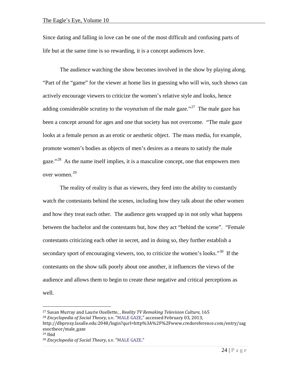Since dating and falling in love can be one of the most difficult and confusing parts of life but at the same time is so rewarding, it is a concept audiences love.

The audience watching the show becomes involved in the show by playing along. "Part of the "game" for the viewer at home lies in guessing who will win, such shows can actively encourage viewers to criticize the women's relative style and looks, hence adding considerable scrutiny to the voyeurism of the male gaze."<sup>27</sup> The male gaze has been a concept around for ages and one that society has not overcome. "The male gaze looks at a female person as an erotic or aesthetic object. The mass media, for example, promote women's bodies as objects of men's desires as a means to satisfy the male gaze."<sup>[28](#page-25-1)</sup> As the name itself implies, it is a masculine concept, one that empowers men over women. [29](#page-25-2)

The reality of reality is that as viewers, they feed into the ability to constantly watch the contestants behind the scenes, including how they talk about the other women and how they treat each other. The audience gets wrapped up in not only what happens between the bachelor and the contestants but, how they act "behind the scene". "Female contestants criticizing each other in secret, and in doing so, they further establish a secondary sport of encouraging viewers, too, to criticize the women's looks."<sup>[30](#page-25-3)</sup> If the contestants on the show talk poorly about one another, it influences the views of the audience and allows them to begin to create these negative and critical perceptions as well.

<span id="page-25-0"></span><sup>27</sup> Susan Murray and Laurie Ouellette, , *Reality TV Remaking Television Culture*, 165 <sup>28</sup> *Encyclopedia of Social Theory*, s.v. ["MALE GAZE,"](http://dbproxy.lasalle.edu:2169/entry/sagesoctheor/male_gaze) accessed February 03, 2013,

<span id="page-25-1"></span>http://dbproxy.lasalle.edu:2048/login?qurl=http%3A%2F%2Fwww.credoreference.com/entry/sag esoctheor/male\_gaze

<span id="page-25-3"></span><span id="page-25-2"></span> $29$  Ibid

<sup>30</sup> *Encyclopedia of Social Theory*, s.v. ["MALE GAZE."](http://dbproxy.lasalle.edu:2169/entry/sagesoctheor/male_gaze)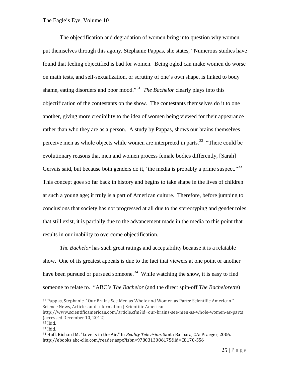The objectification and degradation of women bring into question why women put themselves through this agony. Stephanie Pappas, she states, "Numerous studies have found that feeling objectified is bad for women. Being ogled can make women do worse on math tests, and self-sexualization, or scrutiny of one's own shape, is linked to body shame, eating disorders and poor mood.<sup>31</sup> *The Bachelor* clearly plays into this objectification of the contestants on the show. The contestants themselves do it to one another, giving more credibility to the idea of women being viewed for their appearance rather than who they are as a person. A study by Pappas, shows our brains themselves perceive men as whole objects while women are interpreted in parts.<sup>32</sup> "There could be evolutionary reasons that men and women process female bodies differently, [Sarah] Gervais said, but because both genders do it, 'the media is probably a prime suspect."<sup>33</sup> This concept goes so far back in history and begins to take shape in the lives of children at such a young age; it truly is a part of American culture. Therefore, before jumping to conclusions that society has not progressed at all due to the stereotyping and gender roles that still exist, it is partially due to the advancement made in the media to this point that results in our inability to overcome objectification.

*The Bachelor* has such great ratings and acceptability because it is a relatable show. One of its greatest appeals is due to the fact that viewers at one point or another have been pursued or pursued someone.<sup>34</sup> While watching the show, it is easy to find someone to relate to. "ABC's *The Bachelor* (and the direct spin-off *The Bachelorette*)

<span id="page-26-0"></span><sup>31</sup> Pappas, Stephanie. "Our Brains See Men as Whole and Women as Parts: Scientific American." Science News, Articles and Information | Scientific American.

http://www.scientificamerican.com/article.cfm?id=our-brains-see-men-as-whole-women-as-parts (accessed December 10, 2012).

<span id="page-26-1"></span><sup>32</sup> Ibid.

<span id="page-26-2"></span><sup>33</sup> Ibid.

<span id="page-26-3"></span><sup>34</sup> Huff, Richard M. "Love Is in the Air." In *Reality Television*. Santa Barbara, CA: Praeger, 2006. http://ebooks.abc-clio.com/reader.aspx?isbn=9780313086175&id=C8170-556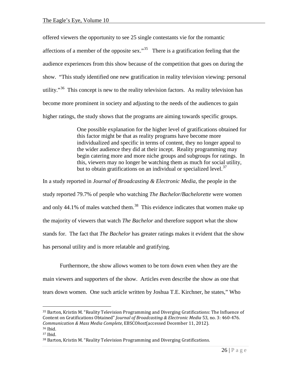offered viewers the opportunity to see 25 single contestants vie for the romantic affections of a member of the opposite sex."<sup>[35](#page-27-0)</sup> There is a gratification feeling that the audience experiences from this show because of the competition that goes on during the show. "This study identified one new gratification in reality television viewing: personal utility."<sup>36</sup> This concept is new to the reality television factors. As reality television has become more prominent in society and adjusting to the needs of the audiences to gain higher ratings, the study shows that the programs are aiming towards specific groups.

> One possible explanation for the higher level of gratifications obtained for this factor might be that as reality programs have become more individualized and specific in terms of content, they no longer appeal to the wider audience they did at their incept. Reality programming may begin catering more and more niche groups and subgroups for ratings. In this, viewers may no longer be watching them as much for social utility, but to obtain gratifications on an individual or specialized level.<sup>[37](#page-27-2)</sup>

In a study reported in *Journal of Broadcasting & Electronic Media*, the people in the study reported 79.7% of people who watching *The Bachelor/Bachelorette* were women and only 44.1% of males watched them.<sup>[38](#page-27-3)</sup> This evidence indicates that women make up the majority of viewers that watch *The Bachelor* and therefore support what the show stands for. The fact that *The Bachelor* has greater ratings makes it evident that the show has personal utility and is more relatable and gratifying.

Furthermore, the show allows women to be torn down even when they are the main viewers and supporters of the show. Articles even describe the show as one that tears down women. One such article written by Joshua T.E. Kirchner, he states," Who

<span id="page-27-0"></span><sup>35</sup> Barton, Kristin M. "Reality Television Programming and Diverging Gratifications: The Influence of Content on Gratifications Obtained" *Journal of Broadcasting & Electronic Media* 53, no. 3: 460-476. *Communication & Mass Media Complete*, EBSCO*host*(accessed December 11, 2012). 36 Ibid.

<span id="page-27-2"></span><span id="page-27-1"></span><sup>37</sup> Ibid.

<span id="page-27-3"></span><sup>38</sup> Barton, Kristin M. "Reality Television Programming and Diverging Gratifications.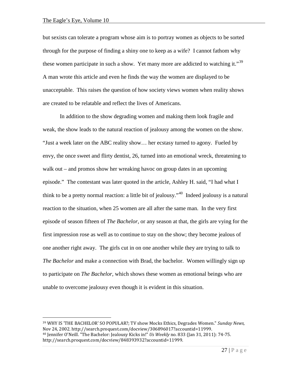but sexists can tolerate a program whose aim is to portray women as objects to be sorted through for the purpose of finding a shiny one to keep as a wife? I cannot fathom why these women participate in such a show. Yet many more are addicted to watching it."<sup>39</sup> A man wrote this article and even he finds the way the women are displayed to be unacceptable. This raises the question of how society views women when reality shows are created to be relatable and reflect the lives of Americans.

In addition to the show degrading women and making them look fragile and weak, the show leads to the natural reaction of jealousy among the women on the show. "Just a week later on the ABC reality show… her ecstasy turned to agony. Fueled by envy, the once sweet and flirty dentist, 26, turned into an emotional wreck, threatening to walk out – and promos show her wreaking havoc on group dates in an upcoming episode." The contestant was later quoted in the article, Ashley H. said, "I had what I think to be a pretty normal reaction: a little bit of jealousy."[40](#page-28-1) Indeed jealousy is a natural reaction to the situation, when 25 women are all after the same man. In the very first episode of season fifteen of *The Bachelor*, or any season at that, the girls are vying for the first impression rose as well as to continue to stay on the show; they become jealous of one another right away. The girls cut in on one another while they are trying to talk to *The Bachelor* and make a connection with Brad, the bachelor. Women willingly sign up to participate on *The Bachelor,* which shows these women as emotional beings who are unable to overcome jealousy even though it is evident in this situation.

<span id="page-28-1"></span><span id="page-28-0"></span> $\overline{a}$ <sup>39</sup> WHY IS 'THE BACHELOR' SO POPULAR?; TV show Mocks Ethics, Degrades Women." *Sunday News,* Nov 24, 2002. http://search.proquest.com/docview/306896017?accountid=11999. <sup>40</sup> Jennifer O'Neill. "The Bachelor: Jealousy Kicks in!" *Us Weekly* no. 833 (Jan 31, 2011): 74-75. http://search.proquest.com/docview/848393932?accountid=11999.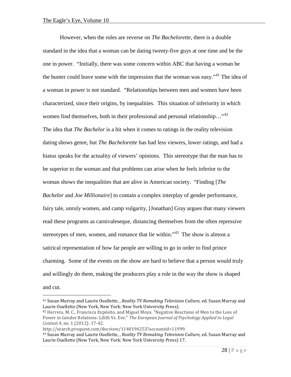However, when the roles are reverse on *The Bachelorette*, there is a double standard in the idea that a woman can be dating twenty-five guys at one time and be the one in power. "Initially, there was some concern within ABC that having a woman be the hunter could leave some with the impression that the woman was easy."<sup>[41](#page-29-0)</sup> The idea of a woman in power is not standard. "Relationships between men and women have been characterized, since their origins, by inequalities. This situation of inferiority in which women find themselves, both in their professional and personal relationship..."<sup>[42](#page-29-1)</sup> The idea that *The Bachelor* is a hit when it comes to ratings in the reality television dating shows genre, but *The Bachelorette* has had less viewers, lower ratings, and had a hiatus speaks for the actuality of viewers' opinions. This stereotype that the man has to be superior to the woman and that problems can arise when he feels inferior to the woman shows the inequalities that are alive in American society. "Finding [*The Bachelor* and *Joe Millionaire*] to contain a complex interplay of gender performance, fairy tale, unruly women, and camp vulgarity, [Jonathan] Gray argues that many viewers read these programs as carnivaleseque, distancing themselves from the often repressive stereotypes of men, women, and romance that lie within."<sup>[43](#page-29-2)</sup> The show is almost a satirical representation of how far people are willing to go in order to find prince charming. Some of the events on the show are hard to believe that a person would truly and willingly do them, making the producers play a role in the way the show is shaped and cut.

http://search.proquest.com/docview/1140194253?accountid=11999.

<span id="page-29-0"></span><sup>41</sup> Susan Murray and Laurie Ouellette, , *Reality TV Remaking Television Culture*, ed. Susan Murray and Laurie Ouellette (New York, New York: New York University Press).

<span id="page-29-1"></span><sup>42</sup> Herrera, M. C., Francisca Expósito, and Miguel Moya. "Negative Reactions of Men to the Loss of Power in Gender Relations: Lilith Vs. Eve." *The European Journal of Psychology Applied to Legal Context* 4, no. 1 (2012): 17-42.

<span id="page-29-2"></span><sup>43</sup> Susan Murray and Laurie Ouellette, , *Reality TV Remaking Television Culture*, ed. Susan Murray and Laurie Ouellette (New York, New York: New York University Press) 17.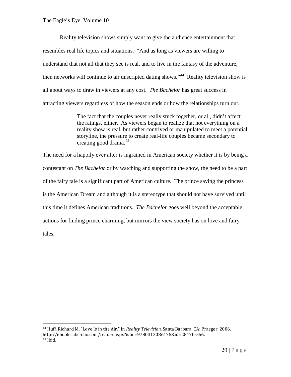$\overline{a}$ 

Reality television shows simply want to give the audience entertainment that resembles real life topics and situations. "And as long as viewers are willing to understand that not all that they see is real, and to live in the fantasy of the adventure, then networks will continue to air unscripted dating shows."<sup>44</sup> Reality television show is all about ways to draw in viewers at any cost. *The Bachelor* has great success in attracting viewers regardless of how the season ends or how the relationships turn out.

> The fact that the couples never really stuck together, or all, didn't affect the ratings, either. As viewers began to realize that not everything on a reality show is real, but rather contrived or manipulated to meet a potential storyline, the pressure to create real-life couples became secondary to creating good drama.[45](#page-30-1)

The need for a happily ever after is ingrained in American society whether it is by being a contestant on *The Bachelor* or by watching and supporting the show, the need to be a part of the fairy tale is a significant part of American culture. The prince saving the princess is the American Dream and although it is a stereotype that should not have survived until this time it defines American traditions. *The Bachelor* goes well beyond the acceptable actions for finding prince charming, but mirrors the view society has on love and fairy tales.

<span id="page-30-1"></span><span id="page-30-0"></span><sup>44</sup> Huff, Richard M. "Love Is in the Air." In *Reality Television*. Santa Barbara, CA: Praeger, 2006. http://ebooks.abc-clio.com/reader.aspx?isbn=9780313086175&id=C8170-556. <sup>45</sup> Ibid.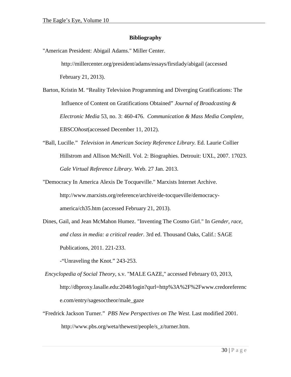### **Bibliography**

"American President: Abigail Adams." Miller Center.

http://millercenter.org/president/adams/essays/firstlady/abigail (accessed February 21, 2013).

- Barton, Kristin M. "Reality Television Programming and Diverging Gratifications: The Influence of Content on Gratifications Obtained" *Journal of Broadcasting & Electronic Media* 53, no. 3: 460-476. *Communication & Mass Media Complete*, EBSCO*host*(accessed December 11, 2012).
- "Ball, Lucille." *Television in American Society Reference Library.* Ed. Laurie Collier Hillstrom and Allison McNeill. Vol. 2: Biographies. Detrouit: UXL, 2007. 17023. *Gale Virtual Reference Library.* Web. 27 Jan. 2013.

"Democracy In America Alexis De Tocqueville." Marxists Internet Archive. http://www.marxists.org/reference/archive/de-tocqueville/democracyamerica/ch35.htm (accessed February 21, 2013).

Dines, Gail, and Jean McMahon Humez. "Inventing The Cosmo Girl." In *Gender, race, and class in media: a critical reader*. 3rd ed. Thousand Oaks, Calif.: SAGE Publications, 2011. 221-233.

-"Unraveling the Knot." 243-253.

- *Encyclopedia of Social Theory*, s.v. ["MALE GAZE,](http://dbproxy.lasalle.edu:2169/entry/sagesoctheor/male_gaze)" accessed February 03, 2013, http://dbproxy.lasalle.edu:2048/login?qurl=http%3A%2F%2Fwww.credoreferenc e.com/entry/sagesoctheor/male\_gaze
- "Fredrick Jackson Turner." *PBS New Perspectives on The West*. Last modified 2001. http://www.pbs.org/weta/thewest/people/s\_z/turner.htm.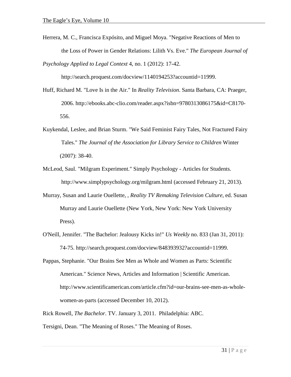Herrera, M. C., Francisca Expósito, and Miguel Moya. "Negative Reactions of Men to the Loss of Power in Gender Relations: Lilith Vs. Eve." *The European Journal of* 

*Psychology Applied to Legal Context* 4, no. 1 (2012): 17-42.

http://search.proquest.com/docview/1140194253?accountid=11999.

- Huff, Richard M. "Love Is in the Air." In *Reality Television*. Santa Barbara, CA: Praeger, 2006. http://ebooks.abc-clio.com/reader.aspx?isbn=9780313086175&id=C8170- 556.
- Kuykendal, Leslee, and Brian Sturm. "We Said Feminist Fairy Tales, Not Fractured Fairy Tales." *The Journal of the Association for Library Service to Children* Winter (2007): 38-40.
- McLeod, Saul. "Milgram Experiment." Simply Psychology Articles for Students. http://www.simplypsychology.org/milgram.html (accessed February 21, 2013).
- Murray, Susan and Laurie Ouellette, , *Reality TV Remaking Television Culture*, ed. Susan Murray and Laurie Ouellette (New York, New York: New York University Press).
- O'Neill, Jennifer. "The Bachelor: Jealousy Kicks in!" *Us Weekly* no. 833 (Jan 31, 2011): 74-75. http://search.proquest.com/docview/848393932?accountid=11999.
- Pappas, Stephanie. "Our Brains See Men as Whole and Women as Parts: Scientific American." Science News, Articles and Information | Scientific American. http://www.scientificamerican.com/article.cfm?id=our-brains-see-men-as-wholewomen-as-parts (accessed December 10, 2012).
- Rick Rowell, *The Bachelor*. TV. January 3, 2011. Philadelphia: ABC.

Tersigni, Dean. "The Meaning of Roses." The Meaning of Roses.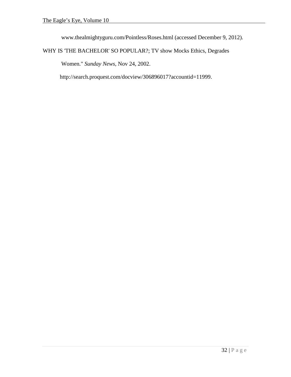www.thealmightyguru.com/Pointless/Roses.html (accessed December 9, 2012).

WHY IS 'THE BACHELOR' SO POPULAR?; TV show Mocks Ethics, Degrades

Women." *Sunday News,* Nov 24, 2002.

http://search.proquest.com/docview/306896017?accountid=11999.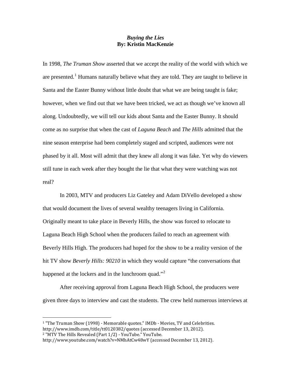#### *Buying the Lies* **By: Kristin MacKenzie**

In 1998, *The Truman Show* asserted that we accept the reality of the world with which we are presented.<sup>[1](#page-34-0)</sup> Humans naturally believe what they are told. They are taught to believe in Santa and the Easter Bunny without little doubt that what we are being taught is fake; however, when we find out that we have been tricked, we act as though we've known all along. Undoubtedly, we will tell our kids about Santa and the Easter Bunny. It should come as no surprise that when the cast of *Laguna Beach* and *The Hills* admitted that the nine season enterprise had been completely staged and scripted, audiences were not phased by it all. Most will admit that they knew all along it was fake. Yet why do viewers still tune in each week after they bought the lie that what they were watching was not real?

In 2003, MTV and producers Liz Gateley and Adam DiVello developed a show that would document the lives of several wealthy teenagers living in California. Originally meant to take place in Beverly Hills, the show was forced to relocate to Laguna Beach High School when the producers failed to reach an agreement with Beverly Hills High. The producers had hoped for the show to be a reality version of the hit TV show *Beverly Hills: 90210* in which they would capture "the conversations that happened at the lockers and in the lunchroom quad."<sup>[2](#page-34-1)</sup>

After receiving approval from Laguna Beach High School, the producers were given three days to interview and cast the students. The crew held numerous interviews at

<span id="page-34-0"></span><sup>1</sup> "The Truman Show (1998) - Memorable quotes." IMDb - Movies, TV and Celebrities. http://www.imdb.com/title/tt0120382/quotes (accessed December 13, 2012). <sup>2</sup> "MTV The Hills Revealed (Part 1/2) - YouTube." YouTube.

<span id="page-34-1"></span>http://www.youtube.com/watch?v=NMhAtCw48wY (accessed December 13, 2012).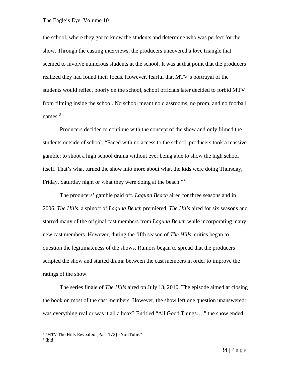the school, where they got to know the students and determine who was perfect for the show. Through the casting interviews, the producers uncovered a love triangle that seemed to involve numerous students at the school. It was at that point that the producers realized they had found their focus. However, fearful that MTV's portrayal of the students would reflect poorly on the school, school officials later decided to forbid MTV from filming inside the school. No school meant no classrooms, no prom, and no football games. $3$ 

Producers decided to continue with the concept of the show and only filmed the students outside of school. "Faced with no access to the school, producers took a massive gamble: to shoot a high school drama without ever being able to show the high school itself. That's what turned the show into more about what the kids were doing Thursday, Friday, Saturday night or what they were doing at the beach."<sup>[4](#page-35-1)</sup>

The producers' gamble paid off. *Laguna Beach* aired for three seasons and in 2006, *The Hills*, a spinoff of *Laguna Beach* premiered. *The Hills* aired for six seasons and starred many of the original cast members from *Laguna Beach* while incorporating many new cast members. However, during the fifth season of *The Hills*, critics began to question the legitimateness of the shows. Rumors began to spread that the producers scripted the show and started drama between the cast members in order to improve the ratings of the show.

The series finale of *The Hills* aired on July 13, 2010. The episode aimed at closing the book on most of the cast members. However, the show left one question unanswered: was everything real or was it all a hoax? Entitled "All Good Things…," the show ended

<span id="page-35-0"></span><sup>3</sup> "MTV The Hills Revealed (Part 1/2) - YouTube."

<span id="page-35-1"></span><sup>4</sup> Ibid.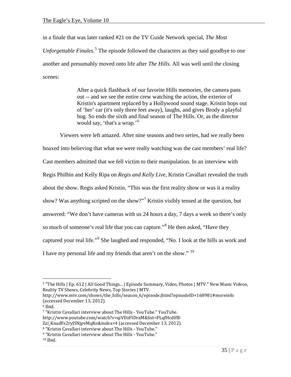in a finale that was later ranked #21 on the TV Guide Network special, *The Most Unforgettable Finales*. [5](#page-36-0) The episode followed the characters as they said goodbye to one another and presumably moved onto life after *The Hills*. All was well until the closing scenes:

> After a quick flashback of our favorite Hills memories, the camera pans out -- and we see the entire crew watching the action, the exterior of Kristin's apartment replaced by a Hollywood sound stage. Kristin hops out of 'her' car (it's only three feet away), laughs, and gives Brody a playful hug. So ends the sixth and final season of The Hills. Or, as the director would say, 'that's a wrap.'[6](#page-36-1)

Viewers were left amazed. After nine seasons and two series, had we really been hoaxed into believing that what we were really watching was the cast members' real life? Cast members admitted that we fell victim to their manipulation. In an interview with Regis Philbin and Kelly Ripa on *Regis and Kelly Live*, Kristin Cavallari revealed the truth about the show. Regis asked Kristin, "This was the first reality show or was it a reality show? Was anything scripted on the show?"<sup>[7](#page-36-2)</sup> Kristin visibly tensed at the question, but answered: "We don't have cameras with us 24 hours a day, 7 days a week so there's only so much of someone's real life that you can capture."<sup>[8](#page-36-3)</sup> He then asked, "Have they captured your real life."<sup>[9](#page-36-4)</sup> She laughed and responded, "No. I look at the hills as work and I have my personal life and my friends that aren't on the show."  $10$ 

<span id="page-36-0"></span><sup>5</sup> "The Hills | Ep. 612 | All Good Things... | Episode Summary, Video, Photos | MTV." New Music Videos, Reality TV Shows, Celebrity News, Top Stories | MTV.

http://www.mtv.com/shows/the\_hills/season\_6/episode.jhtml?episodeID=168981#moreinfo (accessed December 13, 2012).

<span id="page-36-2"></span><span id="page-36-1"></span><sup>6</sup> Ibid.

<sup>7</sup> "Kristin Cavallari interview about The Hills - YouTube." YouTube. http://www.youtube.com/watch?v=qiVDzFIDraM&list=PLqfHcdIfB-

<span id="page-36-3"></span>Zzi\_KnadFs2ryJSNjpvMqRo&index=4 (accessed December 13, 2012).

<sup>8</sup> "Kristin Cavallari interview about The Hills - YouTube."

<span id="page-36-4"></span><sup>9</sup> "Kristin Cavallari interview about The Hills - YouTube."

<span id="page-36-5"></span> $10$  Ibid.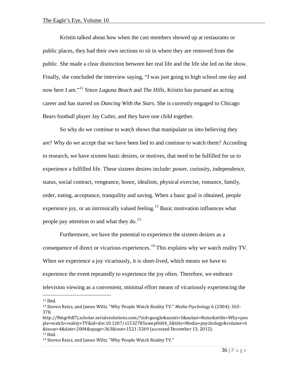Kristin talked about how when the cast members showed up at restaurants or public places, they had their own sections to sit in where they are removed from the public. She made a clear distinction between her real life and the life she led on the show. Finally, she concluded the interview saying, "I was just going to high school one day and now here I am."[11](#page-37-0) Since *Laguna Beach* and *The Hills*, Kristin has pursued an acting career and has starred on *Dancing With the Stars*. She is currently engaged to Chicago Bears football player Jay Cutler, and they have one child together.

So why do we continue to watch shows that manipulate us into believing they are? Why do we accept that we have been lied to and continue to watch them? According to research, we have sixteen basic desires, or motives, that need to be fulfilled for us to experience a fulfilled life. These sixteen desires include: power, curiosity, independence, status, social contract, vengeance, honor, idealism, physical exercise, romance, family, order, eating, acceptance, tranquility and saving. When a basic goal is obtained, people experience joy, or an intrinsically valued feeling.<sup>[12](#page-37-1)</sup> Basic motivation influences what people pay attention to and what they do.<sup>[13](#page-37-2)</sup>

Furthermore, we have the potential to experience the sixteen desires as a consequence of direct or vicarious experiences.<sup>[14](#page-37-3)</sup> This explains why we watch reality TV. When we experience a joy vicariously, it is short-lived, which means we have to experience the event repeatedly to experience the joy often. Therefore, we embrace television viewing as a convenient, minimal effort means of vicariously experiencing the

<span id="page-37-0"></span> $11$  Ibid.

<span id="page-37-1"></span><sup>12</sup> Steven Reiss, and James Wiltz. "Why People Watch Reality TV." *Media Psychology* 6 (2004): 363- 378.

http://fh6gr8dl7j.scholar.serialssolutions.com/?sid=google&auinit=S&aulast=Reiss&atitle=Why+peo ple+watch+reality+TV&id=doi:10.1207/s1532785xmep0604\_3&title=Media+psychology&volume=6 &issue=4&date=2004&spage=363&issn=1521-3269 (accessed December 13, 2012).  $13$  Ibid.

<span id="page-37-3"></span><span id="page-37-2"></span><sup>14</sup> Steven Reiss, and James Wiltz. "Why People Watch Reality TV."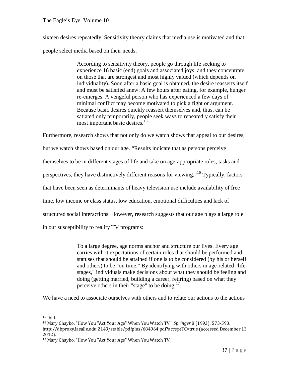sixteen desires repeatedly. Sensitivity theory claims that media use is motivated and that people select media based on their needs.

> According to sensitivity theory, people go through life seeking to experience 16 basic (end) goals and associated joys, and they concentrate on those that are strongest and most highly valued (which depends on individuality). Soon after a basic goal is obtained, the desire reasserts itself and must be satisfied anew. A few hours after eating, for example, hunger re-emerges. A vengeful person who has experienced a few days of minimal conflict may become motivated to pick a fight or argument. Because basic desires quickly reassert themselves and, thus, can be satiated only temporarily, people seek ways to repeatedly satisfy their most important basic desires.<sup>[15](#page-38-0)</sup>

Furthermore, research shows that not only do we watch shows that appeal to our desires, but we watch shows based on our age. "Results indicate that as persons perceive themselves to be in different stages of life and take on age-appropriate roles, tasks and perspectives, they have distinctively different reasons for viewing."<sup>[16](#page-38-1)</sup> Typically, factors that have been seen as determinants of heavy television use include availability of free time, low income or class status, low education, emotional difficulties and lack of structured social interactions. However, research suggests that our age plays a large role in our susceptibility to reality TV programs:

> To a large degree, age norms anchor and structure our lives. Every age carries with it expectations of certain roles that should be performed and statuses that should be attained if one is to be considered (by his or herself and others) to be "on time." By identifying with others in age-related "lifestages," individuals make decisions about what they should be feeling and doing (getting married, building a career, retiring) based on what they perceive others in their "stage" to be doing.<sup>[17](#page-38-2)</sup>

We have a need to associate ourselves with others and to relate our actions to the actions

<span id="page-38-1"></span><span id="page-38-0"></span><sup>&</sup>lt;sup>15</sup> Ibid.<br><sup>16</sup> Mary Chayko. "How You "Act Your Age" When You Watch TV." *Springer* 8 (1993): 573-593.

http://dbproxy.lasalle.edu:2149/stable/pdfplus/684964.pdf?acceptTC=true (accessed December 13, 2012).

<span id="page-38-2"></span><sup>17</sup> Mary Chayko. "How You "Act Your Age" When You Watch TV."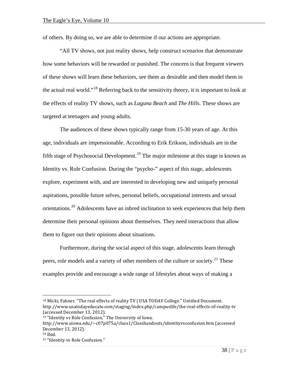of others. By doing so, we are able to determine if our actions are appropriate.

"All TV shows, not just reality shows, help construct scenarios that demonstrate how some behaviors will be rewarded or punished. The concern is that frequent viewers of these shows will learn these behaviors, see them as desirable and then model them in the actual real world."<sup>[18](#page-39-0)</sup> Referring back to the sensitivity theory, it is important to look at the effects of reality TV shows, such as *Laguna Beach* and *The Hills*. These shows are targeted at teenagers and young adults.

The audiences of these shows typically range from 15-30 years of age. At this age, individuals are impressionable. According to Erik Erikson, individuals are in the fifth stage of Psychosocial Development.<sup>[19](#page-39-1)</sup> The major milestone at this stage is known as Identity vs. Role Confusion. During the "psycho-" aspect of this stage, adolescents explore, experiment with, and are interested in developing new and uniquely personal aspirations, possible future selves, personal beliefs, occupational interests and sexual orientations.<sup>[20](#page-39-2)</sup> Adolescents have an inbred inclination to seek experiences that help them determine their personal opinions about themselves. They need interactions that allow them to figure out their opinions about situations.

Furthermore, during the social aspect of this stage, adolescents learn through peers, role models and a variety of other members of the culture or society.<sup>[21](#page-39-3)</sup> These examples provide and encourage a wide range of lifestyles about ways of making a

<span id="page-39-0"></span><sup>&</sup>lt;sup>18</sup> Micki, Fahner. "The real effects of reality TV | USA TODAY College." Untitled Document. http://www.usatodayeducate.com/staging/index.php/campuslife/the-real-effects-of-reality-tv (accessed December 13, 2012).

<span id="page-39-1"></span><sup>19</sup> "Identity vs Role Confusion." The University of Iowa.

http://www.uiowa.edu/~c07p075a/class1/Classhandouts/identityvsconfusion.htm (accessed December 13, 2012).

<span id="page-39-3"></span><span id="page-39-2"></span><sup>20</sup> Ibid.

<sup>21</sup> "Identity vs Role Confusion."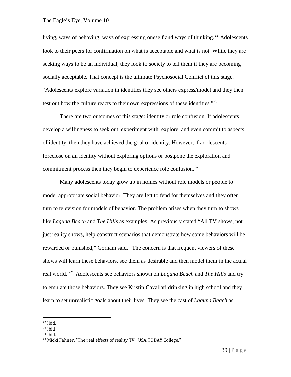living, ways of behaving, ways of expressing oneself and ways of thinking.<sup>[22](#page-40-0)</sup> Adolescents look to their peers for confirmation on what is acceptable and what is not. While they are seeking ways to be an individual, they look to society to tell them if they are becoming socially acceptable. That concept is the ultimate Psychosocial Conflict of this stage. "Adolescents explore variation in identities they see others express/model and they then test out how the culture reacts to their own expressions of these identities."<sup>[23](#page-40-1)</sup>

There are two outcomes of this stage: identity or role confusion. If adolescents develop a willingness to seek out, experiment with, explore, and even commit to aspects of identity, then they have achieved the goal of identity. However, if adolescents foreclose on an identity without exploring options or postpone the exploration and commitment process then they begin to experience role confusion.<sup>[24](#page-40-2)</sup>

Many adolescents today grow up in homes without role models or people to model appropriate social behavior. They are left to fend for themselves and they often turn to television for models of behavior. The problem arises when they turn to shows like *Laguna Beach* and *The Hills* as examples. As previously stated "All TV shows, not just reality shows, help construct scenarios that demonstrate how some behaviors will be rewarded or punished," Gorham said. "The concern is that frequent viewers of these shows will learn these behaviors, see them as desirable and then model them in the actual real world."[25](#page-40-3) Adolescents see behaviors shown on *Laguna Beach* and *The Hills* and try to emulate those behaviors. They see Kristin Cavallari drinking in high school and they learn to set unrealistic goals about their lives. They see the cast of *Laguna Beach* as

<span id="page-40-0"></span><sup>22</sup> Ibid.

<span id="page-40-1"></span> $23$  Ibid

<span id="page-40-2"></span><sup>24</sup> Ibid.

<span id="page-40-3"></span><sup>&</sup>lt;sup>25</sup> Micki Fahner. "The real effects of reality TV | USA TODAY College."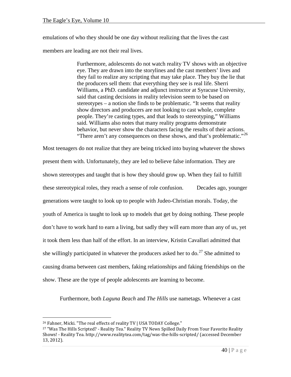emulations of who they should be one day without realizing that the lives the cast members are leading are not their real lives.

> Furthermore, adolescents do not watch reality TV shows with an objective eye. They are drawn into the storylines and the cast members' lives and they fail to realize any scripting that may take place. They buy the lie that the producers sell them: that everything they see is real life. Sherri Williams, a PhD. candidate and adjunct instructor at Syracuse University, said that casting decisions in reality television seem to be based on stereotypes – a notion she finds to be problematic. "It seems that reality show directors and producers are not looking to cast whole, complete people. They're casting types, and that leads to stereotyping," Williams said. Williams also notes that many reality programs demonstrate behavior, but never show the characters facing the results of their actions. "There aren't any consequences on these shows, and that's problematic."<sup>[26](#page-41-0)</sup>

Most teenagers do not realize that they are being tricked into buying whatever the shows present them with. Unfortunately, they are led to believe false information. They are shown stereotypes and taught that is how they should grow up. When they fail to fulfill these stereotypical roles, they reach a sense of role confusion. Decades ago, younger generations were taught to look up to people with Judeo-Christian morals. Today, the youth of America is taught to look up to models that get by doing nothing. These people don't have to work hard to earn a living, but sadly they will earn more than any of us, yet it took them less than half of the effort. In an interview, Kristin Cavallari admitted that she willingly participated in whatever the producers asked her to do.<sup>[27](#page-41-1)</sup> She admitted to causing drama between cast members, faking relationships and faking friendships on the show. These are the type of people adolescents are learning to become.

Furthermore, both *Laguna Beach* and *The Hills* use nametags. Whenever a cast

<span id="page-41-0"></span><sup>&</sup>lt;sup>26</sup> Fahner, Micki. "The real effects of reality TV | USA TODAY College."

<span id="page-41-1"></span><sup>&</sup>lt;sup>27</sup> "Was The Hills Scripted? - Reality Tea." Reality TV News Spilled Daily From Your Favorite Reality Shows! - Reality Tea. http://www.realitytea.com/tag/was-the-hills-scripted/ (accessed December 13, 2012).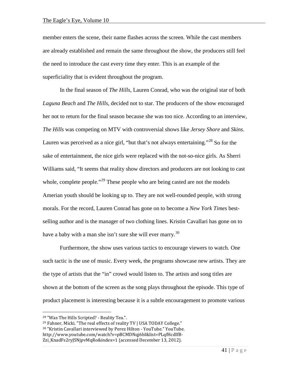member enters the scene, their name flashes across the screen. While the cast members are already established and remain the same throughout the show, the producers still feel the need to introduce the cast every time they enter. This is an example of the superficiality that is evident throughout the program.

In the final season of *The Hills*, Lauren Conrad, who was the original star of both *Laguna Beach* and *The Hills*, decided not to star. The producers of the show encouraged her not to return for the final season because she was too nice. According to an interview, *The Hills* was competing on MTV with controversial shows like *Jersey Shore* and *Skins*. Lauren was perceived as a nice girl, "but that's not always entertaining."<sup>[28](#page-42-0)</sup> So for the sake of entertainment, the nice girls were replaced with the not-so-nice girls. As Sherri Williams said, "It seems that reality show directors and producers are not looking to cast whole, complete people.<sup> $29$ </sup> These people who are being casted are not the models Amerian youth should be looking up to. They are not well-rounded people, with strong morals. For the record, Lauren Conrad has gone on to become a *New York Times* bestselling author and is the manager of two clothing lines. Kristin Cavallari has gone on to have a baby with a man she isn't sure she will ever marry.<sup>[30](#page-42-2)</sup>

Furthermore, the show uses various tactics to encourage viewers to watch. One such tactic is the use of music. Every week, the programs showcase new artists. They are the type of artists that the "in" crowd would listen to. The artists and song titles are shown at the bottom of the screen as the song plays throughout the episode. This type of product placement is interesting because it is a subtle encouragement to promote various

<span id="page-42-0"></span><sup>28</sup> "Was The Hills Scripted? - Reality Tea.".

<span id="page-42-1"></span><sup>&</sup>lt;sup>29</sup> Fahner, Micki. "The real effects of reality TV | USA TODAY College."

<span id="page-42-2"></span><sup>30</sup> "Kristin Cavallari interviewed by Perez Hilton - YouTube." YouTube.

http://www.youtube.com/watch?v=pBCMDNqj6bI&list=PLqfHcdIfB-

Zzi\_KnadFs2ryJSNjpvMqRo&index=1 (accessed December 13, 2012).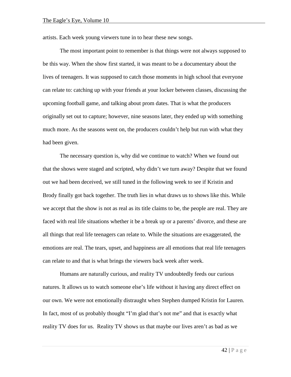artists. Each week young viewers tune in to hear these new songs.

The most important point to remember is that things were not always supposed to be this way. When the show first started, it was meant to be a documentary about the lives of teenagers. It was supposed to catch those moments in high school that everyone can relate to: catching up with your friends at your locker between classes, discussing the upcoming football game, and talking about prom dates. That is what the producers originally set out to capture; however, nine seasons later, they ended up with something much more. As the seasons went on, the producers couldn't help but run with what they had been given.

The necessary question is, why did we continue to watch? When we found out that the shows were staged and scripted, why didn't we turn away? Despite that we found out we had been deceived, we still tuned in the following week to see if Kristin and Brody finally got back together. The truth lies in what draws us to shows like this. While we accept that the show is not as real as its title claims to be, the people are real. They are faced with real life situations whether it be a break up or a parents' divorce, and these are all things that real life teenagers can relate to. While the situations are exaggerated, the emotions are real. The tears, upset, and happiness are all emotions that real life teenagers can relate to and that is what brings the viewers back week after week.

Humans are naturally curious, and reality TV undoubtedly feeds our curious natures. It allows us to watch someone else's life without it having any direct effect on our own. We were not emotionally distraught when Stephen dumped Kristin for Lauren. In fact, most of us probably thought "I'm glad that's not me" and that is exactly what reality TV does for us. Reality TV shows us that maybe our lives aren't as bad as we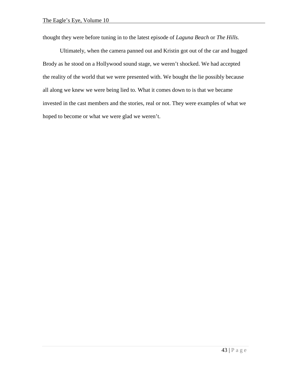thought they were before tuning in to the latest episode of *Laguna Beach* or *The Hills.*

Ultimately, when the camera panned out and Kristin got out of the car and hugged Brody as he stood on a Hollywood sound stage, we weren't shocked. We had accepted the reality of the world that we were presented with. We bought the lie possibly because all along we knew we were being lied to. What it comes down to is that we became invested in the cast members and the stories, real or not. They were examples of what we hoped to become or what we were glad we weren't.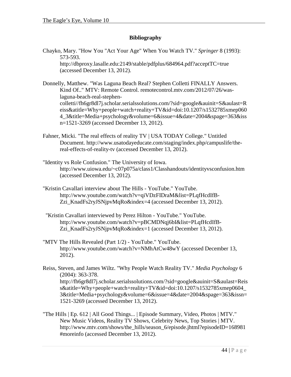## **Bibliography**

Chayko, Mary. "How You "Act Your Age" When You Watch TV." *Springer* 8 (1993): 573-593.

http://dbproxy.lasalle.edu:2149/stable/pdfplus/684964.pdf?acceptTC=true (accessed December 13, 2012).

Donnelly, Matthew. "Was Laguna Beach Real? Stephen Colletti FINALLY Answers. Kind Of.." MTV: Remote Control. remotecontrol.mtv.com/2012/07/26/waslaguna-beach-real-stephencolletti//fh6gr8dl7j.scholar.serialssolutions.com/?sid=google&auinit=S&aulast=R eiss&atitle=Why+people+watch+reality+TV&id=doi:10.1207/s1532785xmep060 4\_3&title=Media+psychology&volume=6&issue=4&date=2004&spage=363&iss n=1521-3269 (accessed December 13, 2012).

- Fahner, Micki. "The real effects of reality TV | USA TODAY College." Untitled Document. http://www.usatodayeducate.com/staging/index.php/campuslife/thereal-effects-of-reality-tv (accessed December 13, 2012).
- "Identity vs Role Confusion." The University of Iowa. http://www.uiowa.edu/~c07p075a/class1/Classhandouts/identityvsconfusion.htm (accessed December 13, 2012).
- "Kristin Cavallari interview about The Hills YouTube." YouTube. http://www.youtube.com/watch?v=qiVDzFIDraM&list=PLqfHcdIfB-Zzi\_KnadFs2ryJSNjpvMqRo&index=4 (accessed December 13, 2012).
- "Kristin Cavallari interviewed by Perez Hilton YouTube." YouTube. http://www.youtube.com/watch?v=pBCMDNqj6bI&list=PLqfHcdIfB-Zzi\_KnadFs2ryJSNjpvMqRo&index=1 (accessed December 13, 2012).
- "MTV The Hills Revealed (Part 1/2) YouTube." YouTube. http://www.youtube.com/watch?v=NMhAtCw48wY (accessed December 13, 2012).
- Reiss, Steven, and James Wiltz. "Why People Watch Reality TV." *Media Psychology* 6 (2004): 363-378. http://fh6gr8dl7j.scholar.serialssolutions.com/?sid=google&auinit=S&aulast=Reis s&atitle=Why+people+watch+reality+TV&id=doi:10.1207/s1532785xmep0604\_ 3&title=Media+psychology&volume=6&issue=4&date=2004&spage=363&issn= 1521-3269 (accessed December 13, 2012).
- "The Hills | Ep. 612 | All Good Things... | Episode Summary, Video, Photos | MTV." New Music Videos, Reality TV Shows, Celebrity News, Top Stories | MTV. http://www.mtv.com/shows/the\_hills/season\_6/episode.jhtml?episodeID=168981 #moreinfo (accessed December 13, 2012).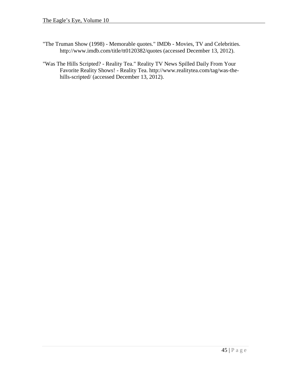- "The Truman Show (1998) Memorable quotes." IMDb Movies, TV and Celebrities. http://www.imdb.com/title/tt0120382/quotes (accessed December 13, 2012).
- "Was The Hills Scripted? Reality Tea." Reality TV News Spilled Daily From Your Favorite Reality Shows! - Reality Tea. http://www.realitytea.com/tag/was-thehills-scripted/ (accessed December 13, 2012).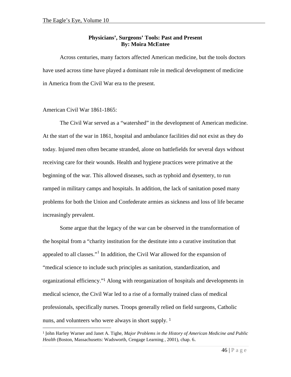## **Physicians', Surgeons' Tools: Past and Present By: Moira McEntee**

Across centuries, many factors affected American medicine, but the tools doctors have used across time have played a dominant role in medical development of medicine in America from the Civil War era to the present.

## American Civil War 1861-1865:

 $\overline{a}$ 

The Civil War served as a "watershed" in the development of American medicine. At the start of the war in 1861, hospital and ambulance facilities did not exist as they do today. Injured men often became stranded, alone on battlefields for several days without receiving care for their wounds. Health and hygiene practices were primative at the beginning of the war. This allowed diseases, such as typhoid and dysentery, to run ramped in military camps and hospitals. In addition, the lack of sanitation posed many problems for both the Union and Confederate armies as sickness and loss of life became increasingly prevalent.

Some argue that the legacy of the war can be observed in the transformation of the hospital from a "charity institution for the destitute into a curative institution that appealed to all classes."[1](#page-47-0) In addition, the Civil War allowed for the expansion of "medical science to include such principles as sanitation, standardization, and organizational efficiency."<sup>1</sup> Along with reorganization of hospitals and developments in medical science, the Civil War led to a rise of a formally trained class of medical professionals, specifically nurses. Troops generally relied on field surgeons, Catholic nuns, and volunteers who were always in short supply. <sup>1</sup>

<span id="page-47-0"></span><sup>1</sup> John Harley Warner and Janet A. Tighe, *Major Problems in the History of American Medicine and Public Health* (Boston, Massachusetts: Wadsworth, Cengage Learning , 2001), chap. 6.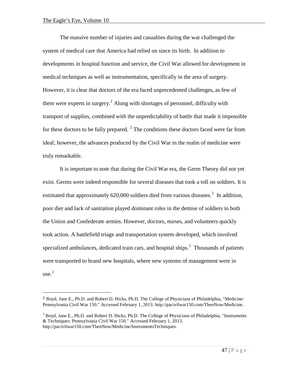$\overline{a}$ 

The massive number of injuries and casualties during the war challenged the system of medical care that America had relied on since its birth. In addition to developments in hospital function and service, the Civil War allowed for development in medical techniques as well as instrumentation, specifically in the area of surgery. However, it is clear that doctors of the era faced unprecedented challenges, as few of them were experts in surgery.<sup>[2](#page-48-0)</sup> Along with shortages of personnel, difficulty with transport of supplies, combined with the unpredictability of battle that made it impossible for these doctors to be fully prepared.  $2$  The conditions these doctors faced were far from ideal; however, the advances produced by the Civil War in the realm of medicine were truly remarkable.

It is important to note that during the Civil War era, the Germ Theory did not yet exist. Germs were indeed responsible for several diseases that took a toll on soldiers. It is estimated that approximately 6[2](#page-48-2)0,000 soldiers died from various diseases. $2$  In addition, poor diet and lack of sanitation played dominant roles in the demise of soldiers in both the Union and Confederate armies. However, doctors, nurses, and volunteers quickly took action. A battlefield triage and transportation system developed, which involved specialized ambulances, dedicated train cars, and hospital ships. $<sup>2</sup>$  $<sup>2</sup>$  $<sup>2</sup>$  Thousands of patients</sup> were transported to brand new hospitals, where new systems of management were in  $use.<sup>2</sup>$  $use.<sup>2</sup>$  $use.<sup>2</sup>$ 

<span id="page-48-0"></span><sup>2</sup> Boyd, Jane E., Ph.D. and Robert D. Hicks, Ph.D. The College of Physicians of Philadelphia, "Medicine: Pennsylvania Civil War 150." Accessed February 1, 2013. http://pacivilwar150.com/ThenNow/Medicine.

<span id="page-48-4"></span><span id="page-48-3"></span><span id="page-48-2"></span><span id="page-48-1"></span> $3$  Boyd, Jane E., Ph.D. and Robert D. Hicks, Ph.D. The College of Physicians of Philadelphia, "Instruments" & Techniques: Pennsylvania Civil War 150." Accessed February 1, 2013. http://pacivilwar150.com/ThenNow/Medicine/InstrumentsTechniques.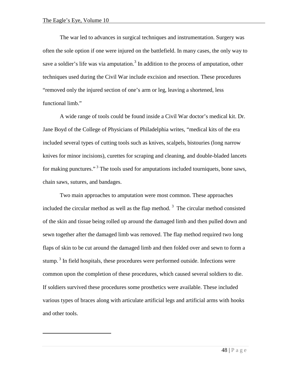<span id="page-49-0"></span> $\overline{a}$ 

The war led to advances in surgical techniques and instrumentation. Surgery was often the sole option if one were injured on the battlefield. In many cases, the only way to save a soldier's life was via amputation.<sup>[3](#page-49-0)</sup> In addition to the process of amputation, other techniques used during the Civil War include excision and resection. These procedures "removed only the injured section of one's arm or leg, leaving a shortened, less functional limb."

A wide range of tools could be found inside a Civil War doctor's medical kit. Dr. Jane Boyd of the College of Physicians of Philadelphia writes, "medical kits of the era included several types of cutting tools such as knives, scalpels, bistouries (long narrow knives for minor incisions), curettes for scraping and cleaning, and double-bladed lancets for making punctures."<sup>3</sup> The tools used for amputations included tourniquets, bone saws, chain saws, sutures, and bandages.

Two main approaches to amputation were most common. These approaches included the circular method as well as the flap method.<sup>3</sup> The circular method consisted of the skin and tissue being rolled up around the damaged limb and then pulled down and sewn together after the damaged limb was removed. The flap method required two long flaps of skin to be cut around the damaged limb and then folded over and sewn to form a stump.<sup>3</sup> In field hospitals, these procedures were performed outside. Infections were common upon the completion of these procedures, which caused several soldiers to die. If soldiers survived these procedures some prosthetics were available. These included various types of braces along with articulate artificial legs and artificial arms with hooks and other tools.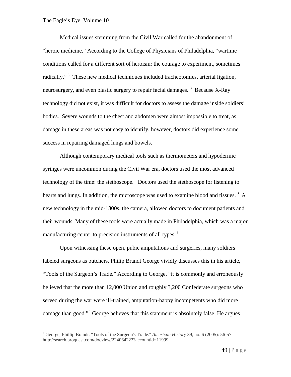Medical issues stemming from the Civil War called for the abandonment of "heroic medicine." According to the College of Physicians of Philadelphia, "wartime conditions called for a different sort of heroism: the courage to experiment, sometimes radically."<sup>3</sup> These new medical techniques included tracheotomies, arterial ligation, neurosurgery, and even plastic surgery to repair facial damages.<sup>3</sup> Because X-Ray technology did not exist, it was difficult for doctors to assess the damage inside soldiers' bodies. Severe wounds to the chest and abdomen were almost impossible to treat, as damage in these areas was not easy to identify, however, doctors did experience some success in repairing damaged lungs and bowels.

Although contemporary medical tools such as thermometers and hypodermic syringes were uncommon during the Civil War era, doctors used the most advanced technology of the time: the stethoscope. Doctors used the stethoscope for listening to hearts and lungs. In addition, the microscope was used to examine blood and tissues.<sup>3</sup> A new technology in the mid-1800s, the camera, allowed doctors to document patients and their wounds. Many of these tools were actually made in Philadelphia, which was a major manufacturing center to precision instruments of all types.<sup>3</sup>

Upon witnessing these open, pubic amputations and surgeries, many soldiers labeled surgeons as butchers. Philip Brandt George vividly discusses this in his article, "Tools of the Surgeon's Trade." According to George, "it is commonly and erroneously believed that the more than 12,000 Union and roughly 3,200 Confederate surgeons who served during the war were ill-trained, amputation-happy incompetents who did more damage than good."<sup>[4](#page-50-0)</sup> George believes that this statement is absolutely false. He argues

<span id="page-50-0"></span> <sup>4</sup> George, Phillip Brandt. "Tools of the Surgeon's Trade." *American History* 39, no. 6 (2005): 56-57. http://search.proquest.com/docview/224064223?accountid=11999.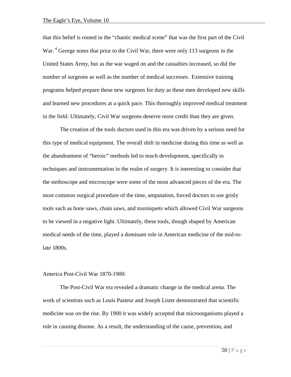that this belief is rooted in the "chaotic medical scene" that was the first part of the Civil War.<sup>4</sup> George notes that prior to the Civil War, there were only 113 surgeons in the United States Army, but as the war waged on and the casualties increased, so did the number of surgeons as well as the number of medical successes. Extensive training programs helped prepare these new surgeons for duty as these men developed new skills and learned new procedures at a quick pace. This thoroughly improved medical treatment in the field. Ultimately, Civil War surgeons deserve more credit than they are given.

The creation of the tools doctors used in this era was driven by a serious need for this type of medical equipment. The overall shift in medicine during this time as well as the abandonment of "heroic" methods led to much development, specifically in techniques and instrumentation in the realm of surgery. It is interesting to consider that the stethoscope and microscope were some of the most advanced pieces of the era. The most common surgical procedure of the time, amputation, forced doctors to use grisly tools such as bone saws, chain saws, and tourniquets which allowed Civil War surgeons to be viewed in a negative light. Ultimately, these tools, though shaped by American medical needs of the time, played a dominant role in American medicine of the mid-tolate 1800s.

#### America Post-Civil War 1870-1900:

The Post-Civil War era revealed a dramatic change in the medical arena. The work of scientists such as Louis Pasteur and Joseph Lister demonstrated that scientific medicine was on the rise. By 1900 it was widely accepted that microorganisms played a role in causing disease. As a result, the understanding of the cause, prevention, and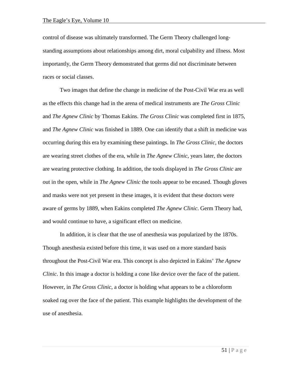control of disease was ultimately transformed. The Germ Theory challenged longstanding assumptions about relationships among dirt, moral culpability and illness. Most importantly, the Germ Theory demonstrated that germs did not discriminate between races or social classes.

Two images that define the change in medicine of the Post-Civil War era as well as the effects this change had in the arena of medical instruments are *The Gross Clinic* and *The Agnew Clinic* by Thomas Eakins. *The Gross Clinic* was completed first in 1875, and *The Agnew Clinic* was finished in 1889. One can identify that a shift in medicine was occurring during this era by examining these paintings. In *The Gross Clinic*, the doctors are wearing street clothes of the era, while in *The Agnew Clinic*, years later, the doctors are wearing protective clothing. In addition, the tools displayed in *The Gross Clinic* are out in the open, while in *The Agnew Clinic* the tools appear to be encased. Though gloves and masks were not yet present in these images, it is evident that these doctors were aware of germs by 1889, when Eakins completed *The Agnew Clinic*. Germ Theory had, and would continue to have, a significant effect on medicine.

In addition, it is clear that the use of anesthesia was popularized by the 1870s. Though anesthesia existed before this time, it was used on a more standard basis throughout the Post-Civil War era. This concept is also depicted in Eakins' *The Agnew Clinic*. In this image a doctor is holding a cone like device over the face of the patient. However, in *The Gross Clinic*, a doctor is holding what appears to be a chloroform soaked rag over the face of the patient. This example highlights the development of the use of anesthesia.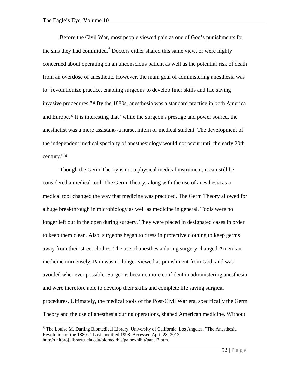$\overline{a}$ 

Before the Civil War, most people viewed pain as one of God's punishments for the sins they had committed.<sup>[6](#page-53-0)</sup> Doctors either shared this same view, or were highly concerned about operating on an unconscious patient as well as the potential risk of death from an overdose of anesthetic. However, the main goal of administering anesthesia was to "revolutionize practice, enabling surgeons to develop finer skills and life saving invasive procedures." <sup>6</sup> By the 1880s, anesthesia was a standard practice in both America and Europe. <sup>6</sup> It is interesting that "while the surgeon's prestige and power soared, the anesthetist was a mere assistant--a nurse, intern or medical student. The development of the independent medical specialty of anesthesiology would not occur until the early 20th century." <sup>6</sup>

Though the Germ Theory is not a physical medical instrument, it can still be considered a medical tool. The Germ Theory, along with the use of anesthesia as a medical tool changed the way that medicine was practiced. The Germ Theory allowed for a huge breakthrough in microbiology as well as medicine in general. Tools were no longer left out in the open during surgery. They were placed in designated cases in order to keep them clean. Also, surgeons began to dress in protective clothing to keep germs away from their street clothes. The use of anesthesia during surgery changed American medicine immensely. Pain was no longer viewed as punishment from God, and was avoided whenever possible. Surgeons became more confident in administering anesthesia and were therefore able to develop their skills and complete life saving surgical procedures. Ultimately, the medical tools of the Post-Civil War era, specifically the Germ Theory and the use of anesthesia during operations, shaped American medicine. Without

<span id="page-53-0"></span><sup>6</sup> The Louise M. Darling Biomedical Library, University of California, Los Angeles, "The Anesthesia Revolution of the 1880s." Last modified 1998. Accessed April 28, 2013. http://unitproj.library.ucla.edu/biomed/his/painexhibit/panel2.htm.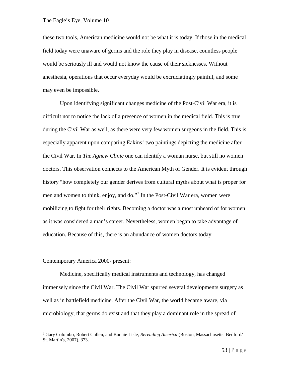these two tools, American medicine would not be what it is today. If those in the medical field today were unaware of germs and the role they play in disease, countless people would be seriously ill and would not know the cause of their sicknesses. Without anesthesia, operations that occur everyday would be excruciatingly painful, and some may even be impossible.

Upon identifying significant changes medicine of the Post-Civil War era, it is difficult not to notice the lack of a presence of women in the medical field. This is true during the Civil War as well, as there were very few women surgeons in the field. This is especially apparent upon comparing Eakins' two paintings depicting the medicine after the Civil War. In *The Agnew Clinic* one can identify a woman nurse, but still no women doctors. This observation connects to the American Myth of Gender. It is evident through history "how completely our gender derives from cultural myths about what is proper for men and women to think, enjoy, and do."<sup>[7](#page-54-0)</sup> In the Post-Civil War era, women were mobilizing to fight for their rights. Becoming a doctor was almost unheard of for women as it was considered a man's career. Nevertheless, women began to take advantage of education. Because of this, there is an abundance of women doctors today.

#### Contemporary America 2000- present:

 $\overline{a}$ 

Medicine, specifically medical instruments and technology, has changed immensely since the Civil War. The Civil War spurred several developments surgery as well as in battlefield medicine. After the Civil War, the world became aware, via microbiology, that germs do exist and that they play a dominant role in the spread of

<span id="page-54-0"></span><sup>7</sup> Gary Colombo, Robert Cullen, and Bonnie Lisle, *Rereading America* (Boston, Massachusetts: Bedford/ St. Martin's, 2007), 373.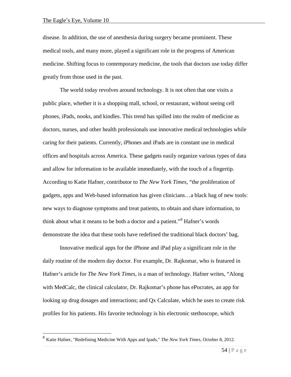disease. In addition, the use of anesthesia during surgery became prominent. These medical tools, and many more, played a significant role in the progress of American medicine. Shifting focus to contemporary medicine, the tools that doctors use today differ greatly from those used in the past.

The world today revolves around technology. It is not often that one visits a public place, whether it is a shopping mall, school, or restaurant, without seeing cell phones, iPads, nooks, and kindles. This trend has spilled into the realm of medicine as doctors, nurses, and other health professionals use innovative medical technologies while caring for their patients. Currently, iPhones and iPads are in constant use in medical offices and hospitals across America. These gadgets easily organize various types of data and allow for information to be available immediately, with the touch of a fingertip. According to Katie Hafner, contributor to *The New York Times*, "the proliferation of gadgets, apps and Web-based information has given clinicians…a black bag of new tools: new ways to diagnose symptoms and treat patients, to obtain and share information, to think about what it means to be both a doctor and a patient."[8](#page-55-0) Hafner's words demonstrate the idea that these tools have redefined the traditional black doctors' bag.

Innovative medical apps for the iPhone and iPad play a significant role in the daily routine of the modern day doctor. For example, Dr. Rajkomar, who is featured in Hafner's article for *The New York Times*, is a man of technology. Hafner writes, "Along with MedCalc, the clinical calculator, Dr. Rajkomar's phone has ePocrates, an app for looking up drug dosages and interactions; and Qx Calculate, which he uses to create risk profiles for his patients. His favorite technology is his electronic stethoscope, which

<span id="page-55-0"></span> <sup>8</sup> Katie Hafner, "Redefining Medicine With Apps and Ipads," *The New York Times*, October 8, 2012.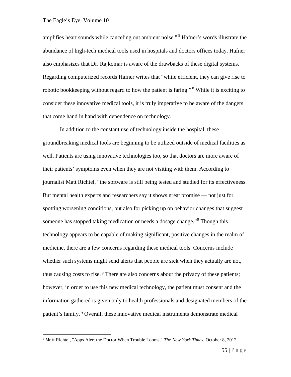$\overline{a}$ 

amplifies heart sounds while canceling out ambient noise."<sup>8</sup> Hafner's words illustrate the abundance of high-tech medical tools used in hospitals and doctors offices today. Hafner also emphasizes that Dr. Rajkomar is aware of the drawbacks of these digital systems. Regarding computerized records Hafner writes that "while efficient, they can give rise to robotic bookkeeping without regard to how the patient is faring."<sup>8</sup> While it is exciting to consider these innovative medical tools, it is truly imperative to be aware of the dangers that come hand in hand with dependence on technology.

In addition to the constant use of technology inside the hospital, these groundbreaking medical tools are beginning to be utilized outside of medical facilities as well. Patients are using innovative technologies too, so that doctors are more aware of their patients' symptoms even when they are not visiting with them. According to journalist Matt Richtel, "the software is still being tested and studied for its effectiveness. But mental health experts and researchers say it shows great promise — not just for spotting worsening conditions, but also for picking up on behavior changes that suggest someone has stopped taking medication or needs a dosage change."<sup>[9](#page-56-0)</sup> Though this technology appears to be capable of making significant, positive changes in the realm of medicine, there are a few concerns regarding these medical tools. Concerns include whether such systems might send alerts that people are sick when they actually are not, thus causing costs to rise. <sup>9</sup> There are also concerns about the privacy of these patients; however, in order to use this new medical technology, the patient must consent and the information gathered is given only to health professionals and designated members of the patient's family. <sup>9</sup> Overall, these innovative medical instruments demonstrate medical

<span id="page-56-0"></span><sup>9</sup> Matt Richtel, "Apps Alert the Doctor When Trouble Looms," *The New York Times*, October 8, 2012.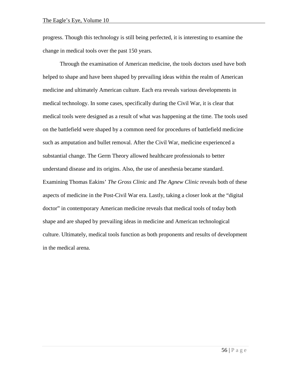progress. Though this technology is still being perfected, it is interesting to examine the change in medical tools over the past 150 years.

Through the examination of American medicine, the tools doctors used have both helped to shape and have been shaped by prevailing ideas within the realm of American medicine and ultimately American culture. Each era reveals various developments in medical technology. In some cases, specifically during the Civil War, it is clear that medical tools were designed as a result of what was happening at the time. The tools used on the battlefield were shaped by a common need for procedures of battlefield medicine such as amputation and bullet removal. After the Civil War, medicine experienced a substantial change. The Germ Theory allowed healthcare professionals to better understand disease and its origins. Also, the use of anesthesia became standard. Examining Thomas Eakins' *The Gross Clinic* and *The Agnew Clinic* reveals both of these aspects of medicine in the Post-Civil War era. Lastly, taking a closer look at the "digital doctor" in contemporary American medicine reveals that medical tools of today both shape and are shaped by prevailing ideas in medicine and American technological culture. Ultimately, medical tools function as both proponents and results of development in the medical arena.